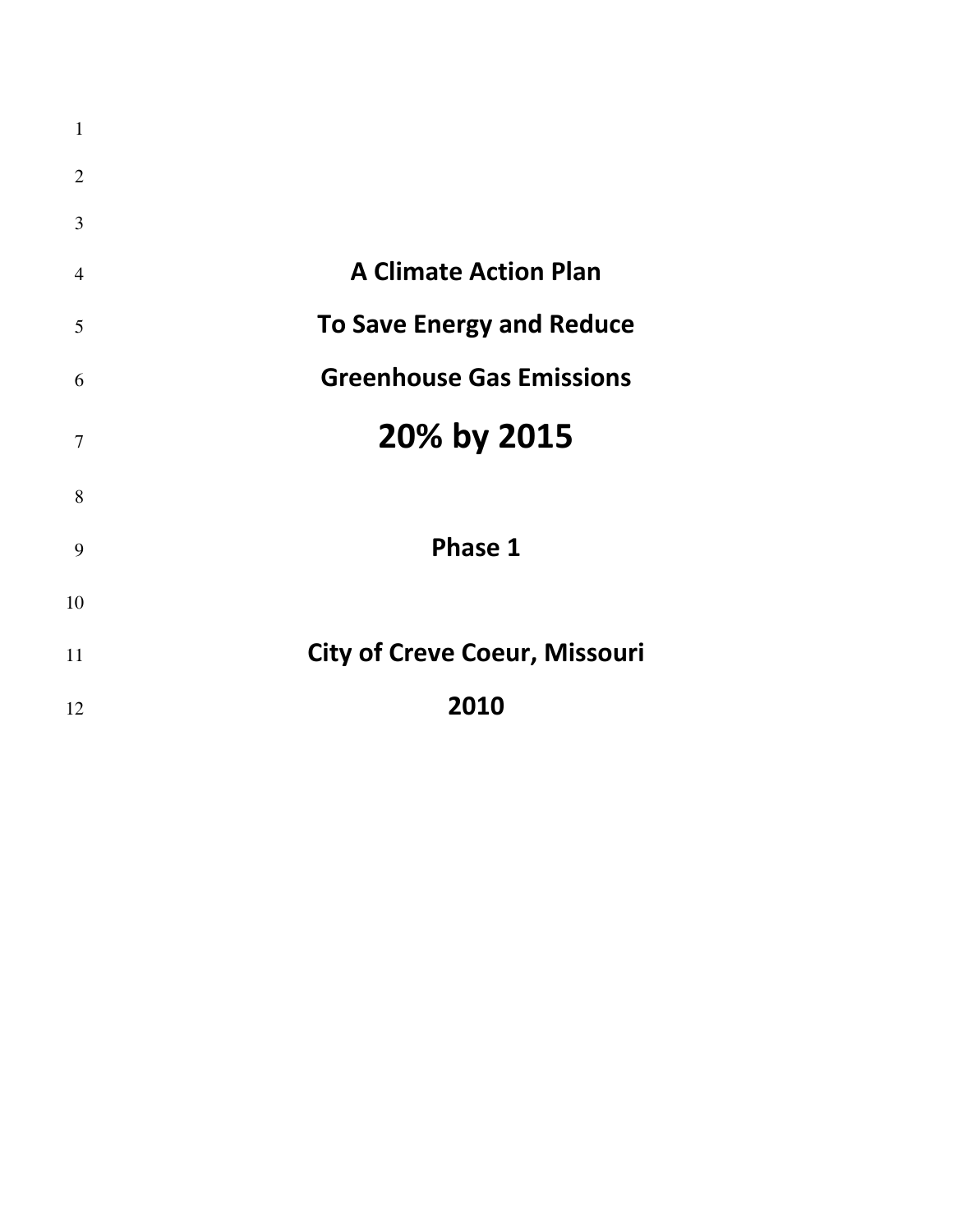| $\mathbf{1}$   |                                      |
|----------------|--------------------------------------|
| $\overline{2}$ |                                      |
| 3              |                                      |
| $\overline{4}$ | <b>A Climate Action Plan</b>         |
| 5              | <b>To Save Energy and Reduce</b>     |
| 6              | <b>Greenhouse Gas Emissions</b>      |
| $\tau$         | 20% by 2015                          |
| 8              |                                      |
| 9              | Phase 1                              |
| 10             |                                      |
| 11             | <b>City of Creve Coeur, Missouri</b> |
| 12             | 2010                                 |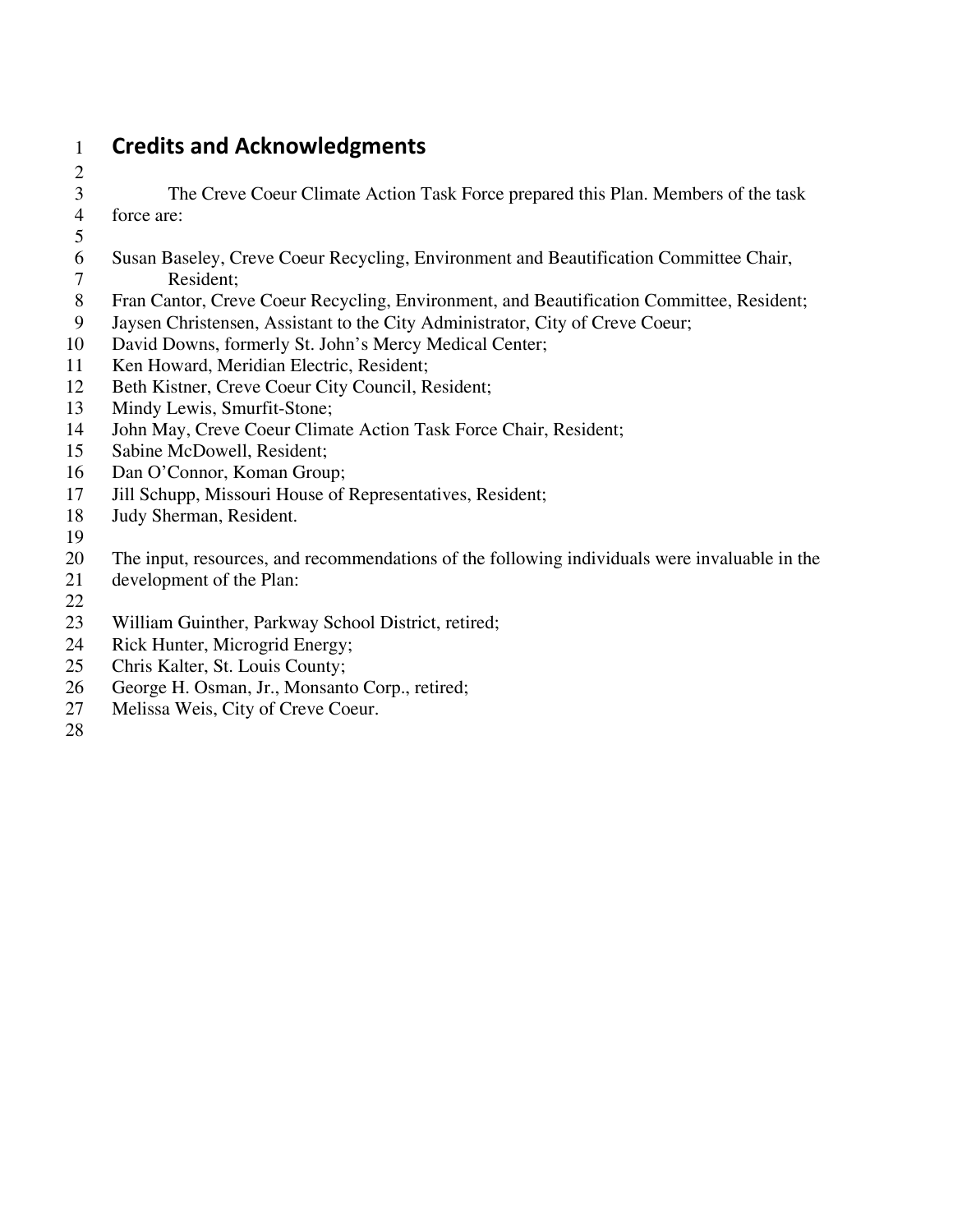# 1 **Credits and Acknowledgments**

- 3 The Creve Coeur Climate Action Task Force prepared this Plan. Members of the task 4 force are:
- 

2

- $\frac{5}{6}$ 6 Susan Baseley, Creve Coeur Recycling, Environment and Beautification Committee Chair, 7 Resident;
- 8 Fran Cantor, Creve Coeur Recycling, Environment, and Beautification Committee, Resident;
- 9 Jaysen Christensen, Assistant to the City Administrator, City of Creve Coeur;
- 10 David Downs, formerly St. John's Mercy Medical Center;
- 11 Ken Howard, Meridian Electric, Resident;
- 12 Beth Kistner, Creve Coeur City Council, Resident;
- 13 Mindy Lewis, Smurfit-Stone;
- 14 John May, Creve Coeur Climate Action Task Force Chair, Resident;
- 15 Sabine McDowell, Resident;
- 16 Dan O'Connor, Koman Group;
- 17 Jill Schupp, Missouri House of Representatives, Resident;
- 18 Judy Sherman, Resident.
- 19
- 20 The input, resources, and recommendations of the following individuals were invaluable in the
- 21 development of the Plan:
- 22
- 23 William Guinther, Parkway School District, retired;
- 24 Rick Hunter, Microgrid Energy;
- 25 Chris Kalter, St. Louis County;
- 26 George H. Osman, Jr., Monsanto Corp., retired;
- 27 Melissa Weis, City of Creve Coeur.
- 28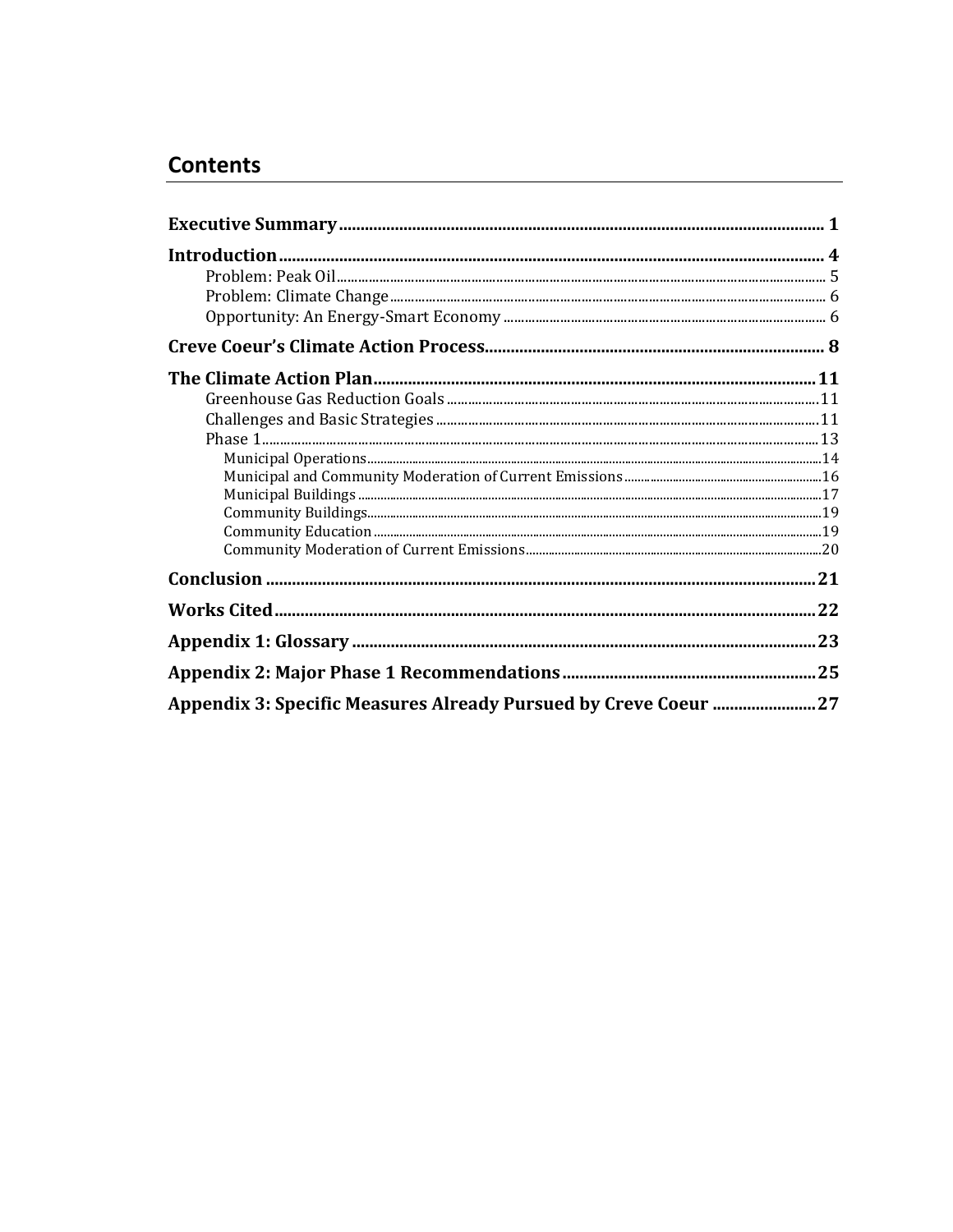# **Contents**

| Appendix 3: Specific Measures Already Pursued by Creve Coeur  27 |  |
|------------------------------------------------------------------|--|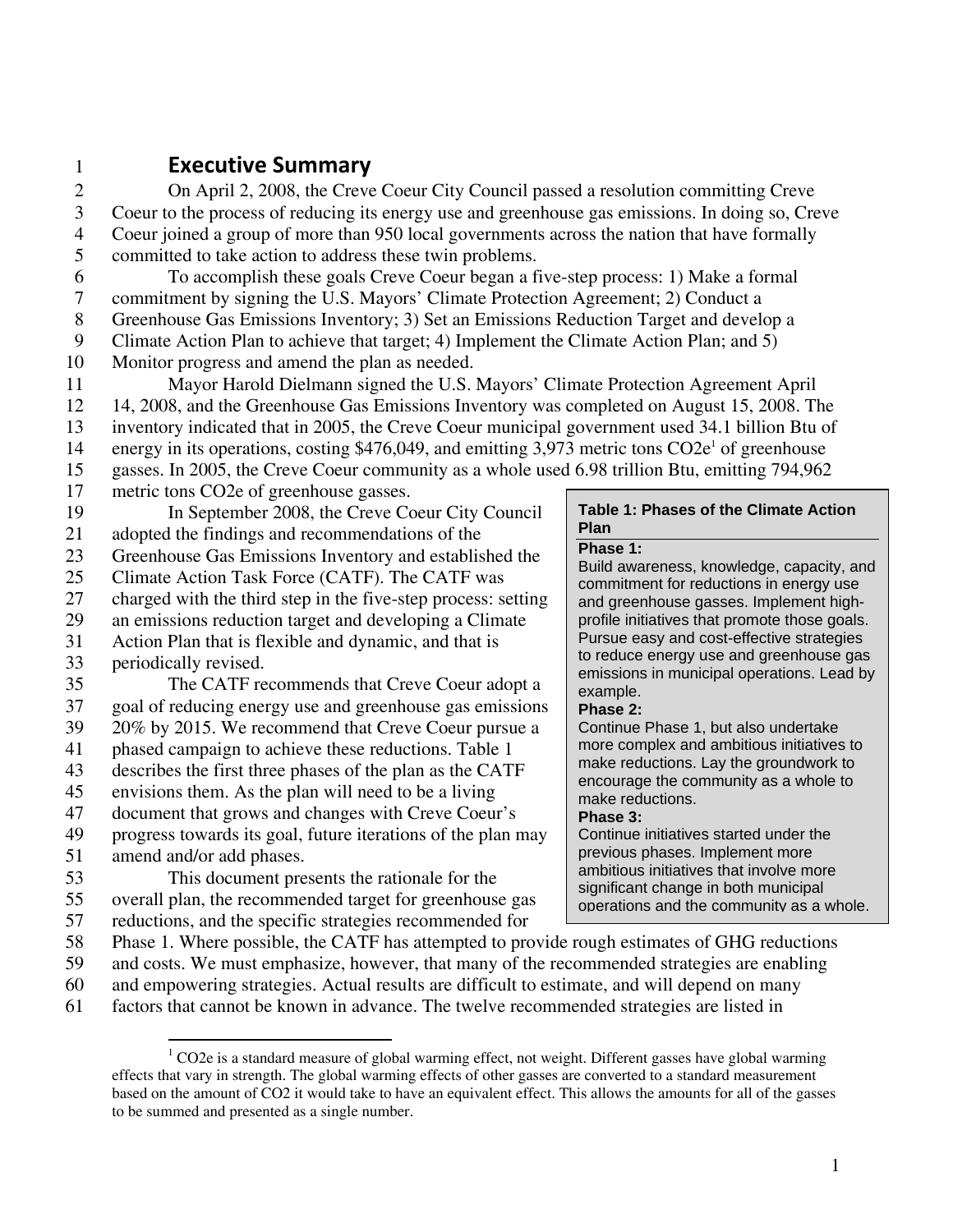# 1 **Executive Summary**

2 On April 2, 2008, the Creve Coeur City Council passed a resolution committing Creve 3 Coeur to the process of reducing its energy use and greenhouse gas emissions. In doing so, Creve 4 Coeur joined a group of more than 950 local governments across the nation that have formally 5 committed to take action to address these twin problems.

6 To accomplish these goals Creve Coeur began a five-step process: 1) Make a formal 7 commitment by signing the U.S. Mayors' Climate Protection Agreement; 2) Conduct a

8 Greenhouse Gas Emissions Inventory; 3) Set an Emissions Reduction Target and develop a

9 Climate Action Plan to achieve that target; 4) Implement the Climate Action Plan; and 5)

10 Monitor progress and amend the plan as needed.

11 Mayor Harold Dielmann signed the U.S. Mayors' Climate Protection Agreement April 12 14, 2008, and the Greenhouse Gas Emissions Inventory was completed on August 15, 2008. The

13 inventory indicated that in 2005, the Creve Coeur municipal government used 34.1 billion Btu of

- 14 energy in its operations, costing  $$476,049$ , and emitting 3,973 metric tons  $CO2e<sup>1</sup>$  of greenhouse
- 15 gasses. In 2005, the Creve Coeur community as a whole used 6.98 trillion Btu, emitting 794,962
- 
- 17 metric tons CO2e of greenhouse gasses.

# 19 In September 2008, the Creve Coeur City Council

- 21 adopted the findings and recommendations of the
- 23 Greenhouse Gas Emissions Inventory and established the
- 25 Climate Action Task Force (CATF). The CATF was
- 27 charged with the third step in the five-step process: setting
- 29 an emissions reduction target and developing a Climate
- 31 Action Plan that is flexible and dynamic, and that is
- 33 periodically revised.

35 The CATF recommends that Creve Coeur adopt a 37 goal of reducing energy use and greenhouse gas emissions

- 39 20% by 2015. We recommend that Creve Coeur pursue a 41 phased campaign to achieve these reductions. Table 1
- 43 describes the first three phases of the plan as the CATF
- 45 envisions them. As the plan will need to be a living
- 47 document that grows and changes with Creve Coeur's
- 49 progress towards its goal, future iterations of the plan may
- 51 amend and/or add phases.
- 53 This document presents the rationale for the 55 overall plan, the recommended target for greenhouse gas 57 reductions, and the specific strategies recommended for

# **Table 1: Phases of the Climate Action Plan**

#### **Phase 1:**

Build awareness, knowledge, capacity, and commitment for reductions in energy use and greenhouse gasses. Implement highprofile initiatives that promote those goals. Pursue easy and cost-effective strategies to reduce energy use and greenhouse gas emissions in municipal operations. Lead by example.

### **Phase 2:**

Continue Phase 1, but also undertake more complex and ambitious initiatives to make reductions. Lay the groundwork to encourage the community as a whole to make reductions.

### **Phase 3:**

Continue initiatives started under the previous phases. Implement more ambitious initiatives that involve more significant change in both municipal operations and the community as a whole.

- 58 Phase 1. Where possible, the CATF has attempted to provide rough estimates of GHG reductions
- 59 and costs. We must emphasize, however, that many of the recommended strategies are enabling
- 60 and empowering strategies. Actual results are difficult to estimate, and will depend on many
- 61 factors that cannot be known in advance. The twelve recommended strategies are listed in

<sup>1</sup>  $1$  CO2e is a standard measure of global warming effect, not weight. Different gasses have global warming effects that vary in strength. The global warming effects of other gasses are converted to a standard measurement based on the amount of CO2 it would take to have an equivalent effect. This allows the amounts for all of the gasses to be summed and presented as a single number.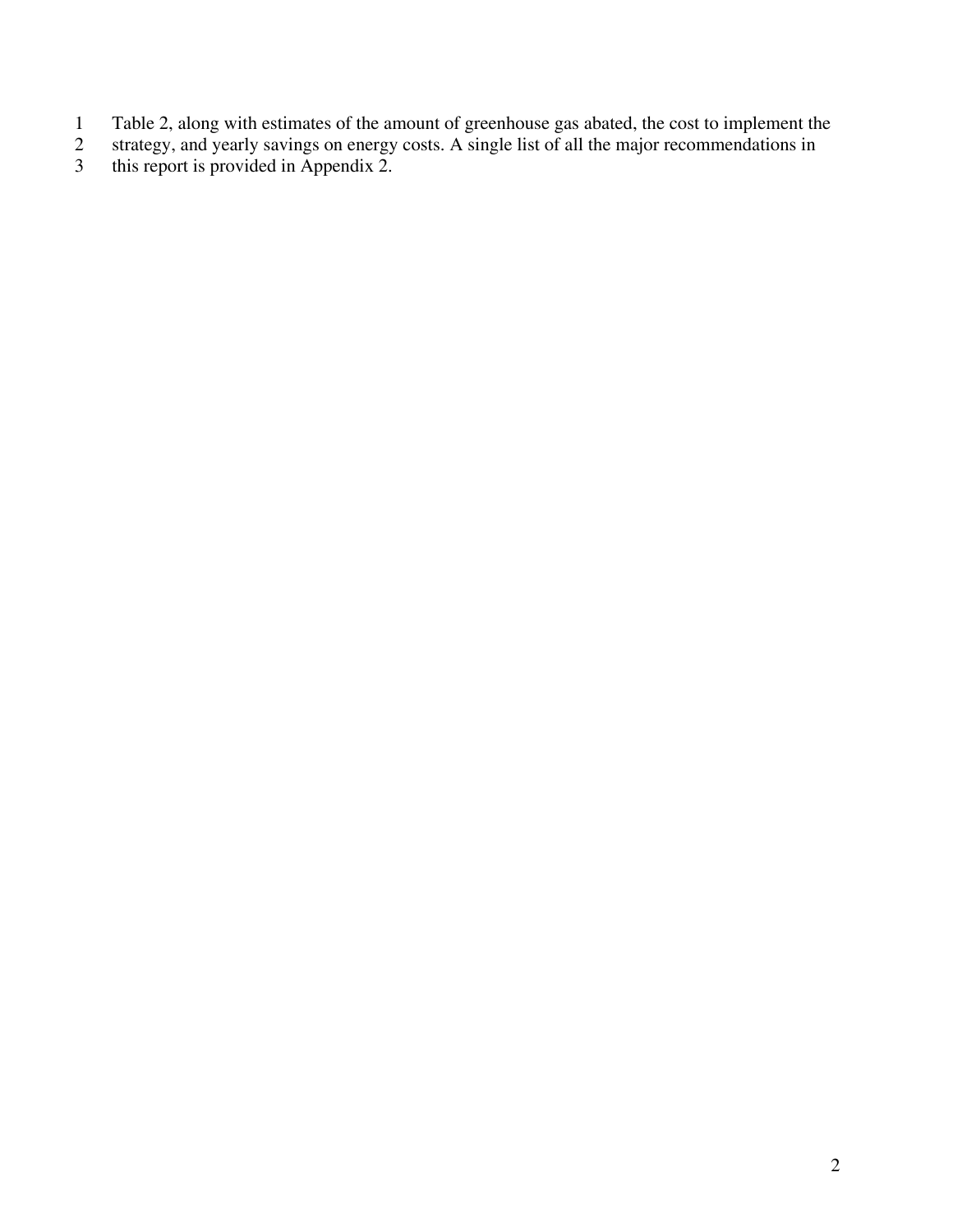- 1 Table 2, along with estimates of the amount of greenhouse gas abated, the cost to implement the
- 2 strategy, and yearly savings on energy costs. A single list of all the major recommendations in
- 3 this report is provided in Appendix 2.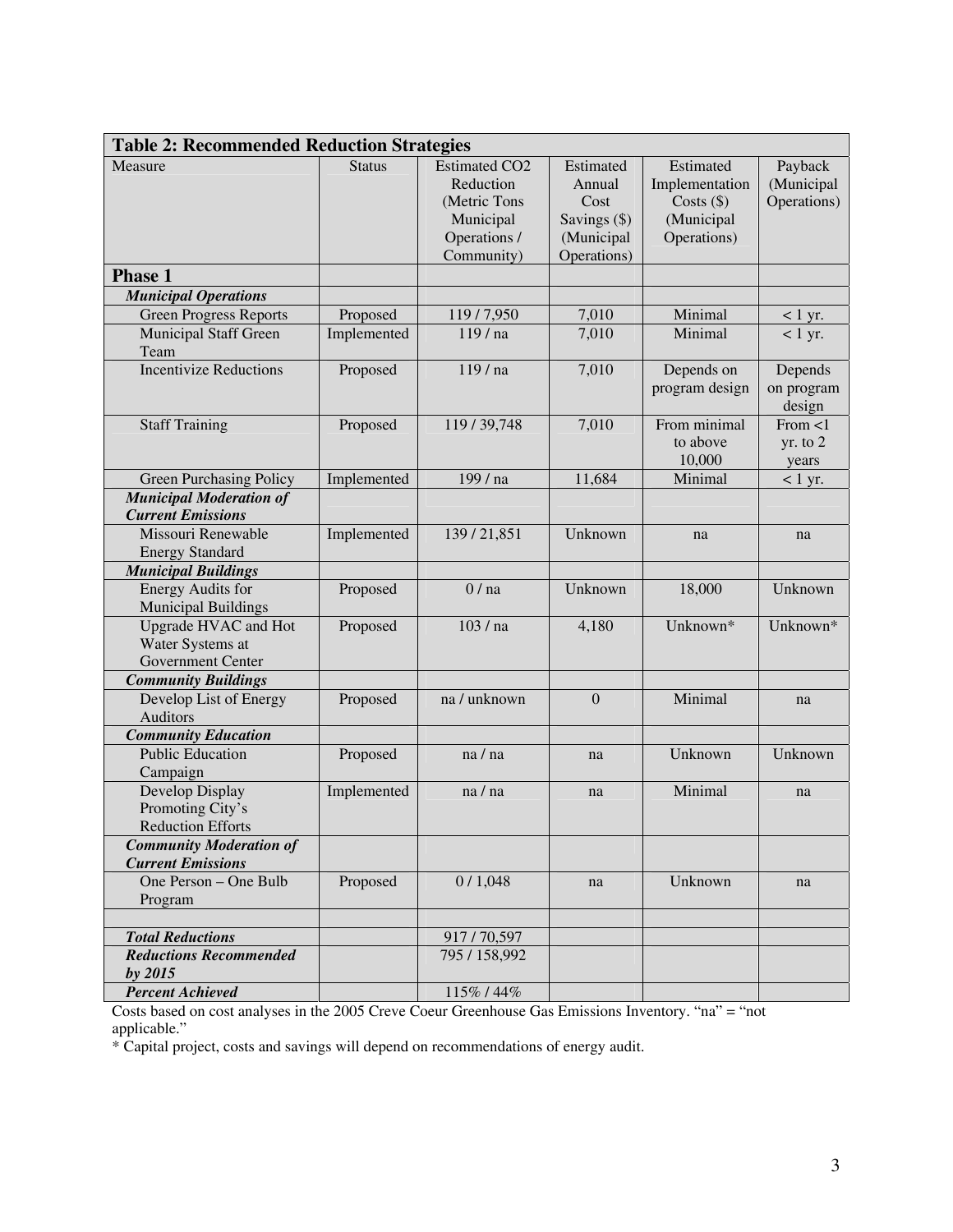| <b>Table 2: Recommended Reduction Strategies</b>                     |               |                                                                                              |                                                                          |                                                                          |                                      |
|----------------------------------------------------------------------|---------------|----------------------------------------------------------------------------------------------|--------------------------------------------------------------------------|--------------------------------------------------------------------------|--------------------------------------|
| Measure                                                              | <b>Status</b> | <b>Estimated CO2</b><br>Reduction<br>(Metric Tons<br>Municipal<br>Operations /<br>Community) | Estimated<br>Annual<br>Cost<br>Savings (\$)<br>(Municipal<br>Operations) | Estimated<br>Implementation<br>Costs $(\$)$<br>(Municipal<br>Operations) | Payback<br>(Municipal<br>Operations) |
| <b>Phase 1</b>                                                       |               |                                                                                              |                                                                          |                                                                          |                                      |
| <b>Municipal Operations</b>                                          |               |                                                                                              |                                                                          |                                                                          |                                      |
| <b>Green Progress Reports</b>                                        | Proposed      | 119/7,950                                                                                    | 7,010                                                                    | Minimal                                                                  | $< 1$ yr.                            |
| <b>Municipal Staff Green</b><br>Team                                 | Implemented   | 119 / na                                                                                     | 7,010                                                                    | Minimal                                                                  | $< 1$ yr.                            |
| <b>Incentivize Reductions</b>                                        | Proposed      | 119 / na                                                                                     | 7,010                                                                    | Depends on<br>program design                                             | Depends<br>on program<br>design      |
| <b>Staff Training</b>                                                | Proposed      | 119/39,748                                                                                   | 7,010                                                                    | From minimal<br>to above<br>10,000                                       | From $<$ 1<br>yr. to 2<br>years      |
| Green Purchasing Policy                                              | Implemented   | 199 / na                                                                                     | 11,684                                                                   | Minimal                                                                  | $< 1$ yr.                            |
| <b>Municipal Moderation of</b><br><b>Current Emissions</b>           |               |                                                                                              |                                                                          |                                                                          |                                      |
| Missouri Renewable<br><b>Energy Standard</b>                         | Implemented   | 139/21,851                                                                                   | Unknown                                                                  | na                                                                       | na                                   |
| <b>Municipal Buildings</b>                                           |               |                                                                                              |                                                                          |                                                                          |                                      |
| <b>Energy Audits for</b><br><b>Municipal Buildings</b>               | Proposed      | 0/na                                                                                         | Unknown                                                                  | 18,000                                                                   | Unknown                              |
| <b>Upgrade HVAC and Hot</b><br>Water Systems at<br>Government Center | Proposed      | 103 / na                                                                                     | 4,180                                                                    | Unknown*                                                                 | Unknown*                             |
| <b>Community Buildings</b>                                           |               |                                                                                              |                                                                          |                                                                          |                                      |
| Develop List of Energy<br>Auditors                                   | Proposed      | na / unknown                                                                                 | $\overline{0}$                                                           | Minimal                                                                  | na                                   |
| <b>Community Education</b>                                           |               |                                                                                              |                                                                          |                                                                          |                                      |
| <b>Public Education</b><br>Campaign                                  | Proposed      | na/na                                                                                        | na                                                                       | Unknown                                                                  | Unknown                              |
| Develop Display<br>Promoting City's<br><b>Reduction Efforts</b>      | Implemented   | na / na                                                                                      | na                                                                       | Minimal                                                                  | na                                   |
| <b>Community Moderation of</b>                                       |               |                                                                                              |                                                                          |                                                                          |                                      |
| <b>Current Emissions</b>                                             |               |                                                                                              |                                                                          |                                                                          |                                      |
| One Person - One Bulb<br>Program                                     | Proposed      | 0/1,048                                                                                      | na                                                                       | Unknown                                                                  | na                                   |
| <b>Total Reductions</b>                                              |               | 917/70,597                                                                                   |                                                                          |                                                                          |                                      |
| <b>Reductions Recommended</b><br>$by$ 2015                           |               | 795 / 158,992                                                                                |                                                                          |                                                                          |                                      |
| <b>Percent Achieved</b>                                              |               | 115%/44%                                                                                     |                                                                          |                                                                          |                                      |

Costs based on cost analyses in the 2005 Creve Coeur Greenhouse Gas Emissions Inventory. "na" = "not applicable."

\* Capital project, costs and savings will depend on recommendations of energy audit.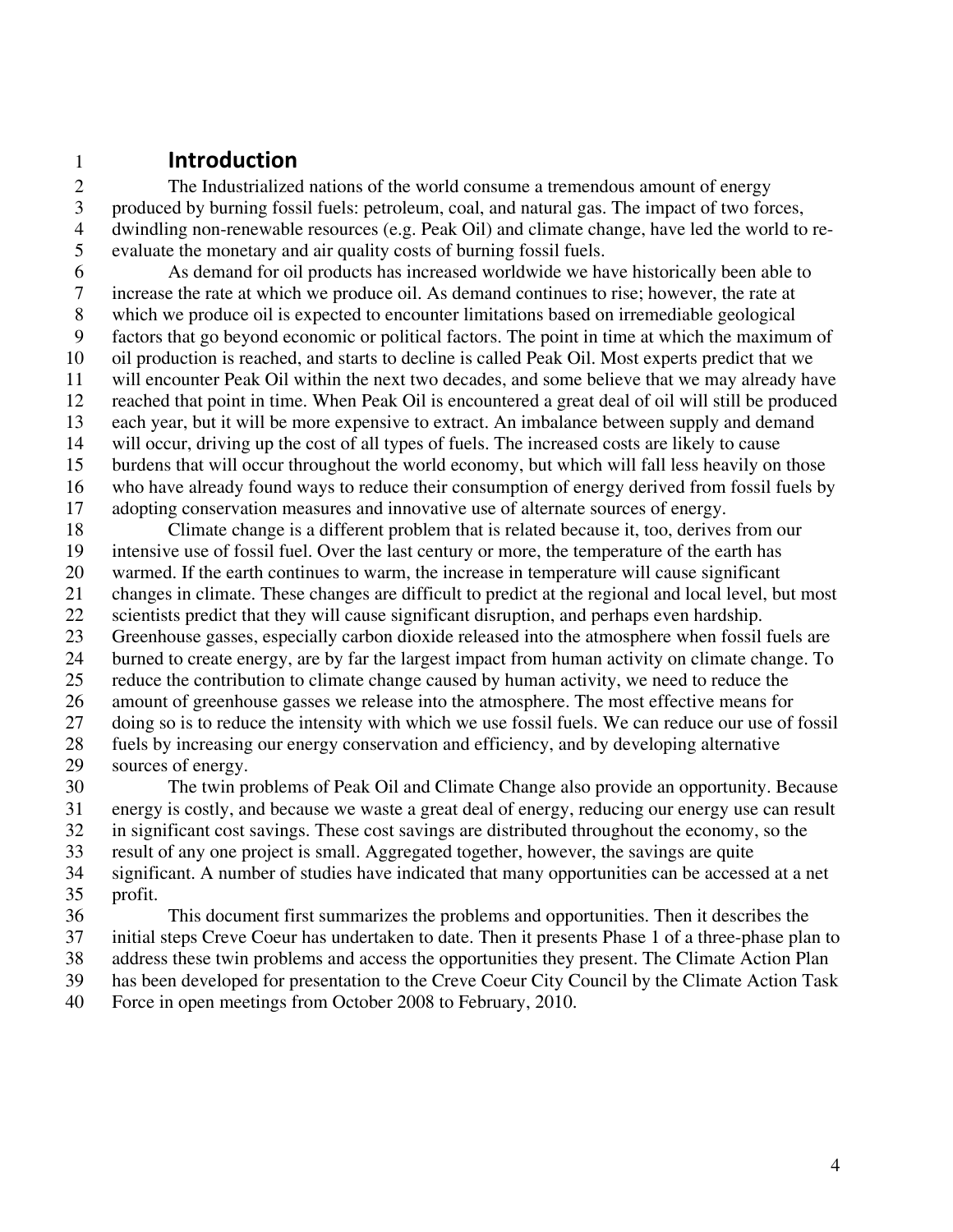# 1 **Introduction**

2 The Industrialized nations of the world consume a tremendous amount of energy<br>3 produced by burning fossil fuels: petroleum, coal, and natural gas. The impact of two for 3 produced by burning fossil fuels: petroleum, coal, and natural gas. The impact of two forces, 4 dwindling non-renewable resources (e.g. Peak Oil) and climate change, have led the world to re-5 evaluate the monetary and air quality costs of burning fossil fuels.

6 As demand for oil products has increased worldwide we have historically been able to 7 increase the rate at which we produce oil. As demand continues to rise; however, the rate at 8 which we produce oil is expected to encounter limitations based on irremediable geological 9 factors that go beyond economic or political factors. The point in time at which the maximum of 10 oil production is reached, and starts to decline is called Peak Oil. Most experts predict that we 11 will encounter Peak Oil within the next two decades, and some believe that we may already have 12 reached that point in time. When Peak Oil is encountered a great deal of oil will still be produced 13 each year, but it will be more expensive to extract. An imbalance between supply and demand 14 will occur, driving up the cost of all types of fuels. The increased costs are likely to cause 15 burdens that will occur throughout the world economy, but which will fall less heavily on those 16 who have already found ways to reduce their consumption of energy derived from fossil fuels by 17 adopting conservation measures and innovative use of alternate sources of energy.

18 Climate change is a different problem that is related because it, too, derives from our 19 intensive use of fossil fuel. Over the last century or more, the temperature of the earth has 20 warmed. If the earth continues to warm, the increase in temperature will cause significant 21 changes in climate. These changes are difficult to predict at the regional and local level, but most 22 scientists predict that they will cause significant disruption, and perhaps even hardship. 23 Greenhouse gasses, especially carbon dioxide released into the atmosphere when fossil fuels are 24 burned to create energy, are by far the largest impact from human activity on climate change. To 25 reduce the contribution to climate change caused by human activity, we need to reduce the 26 amount of greenhouse gasses we release into the atmosphere. The most effective means for 27 doing so is to reduce the intensity with which we use fossil fuels. We can reduce our use of fossil 28 fuels by increasing our energy conservation and efficiency, and by developing alternative 29 sources of energy.

30 The twin problems of Peak Oil and Climate Change also provide an opportunity. Because 31 energy is costly, and because we waste a great deal of energy, reducing our energy use can result 32 in significant cost savings. These cost savings are distributed throughout the economy, so the 33 result of any one project is small. Aggregated together, however, the savings are quite 34 significant. A number of studies have indicated that many opportunities can be accessed at a net 35 profit. 36 This document first summarizes the problems and opportunities. Then it describes the

37 initial steps Creve Coeur has undertaken to date. Then it presents Phase 1 of a three-phase plan to 38 address these twin problems and access the opportunities they present. The Climate Action Plan 39 has been developed for presentation to the Creve Coeur City Council by the Climate Action Task

40 Force in open meetings from October 2008 to February, 2010.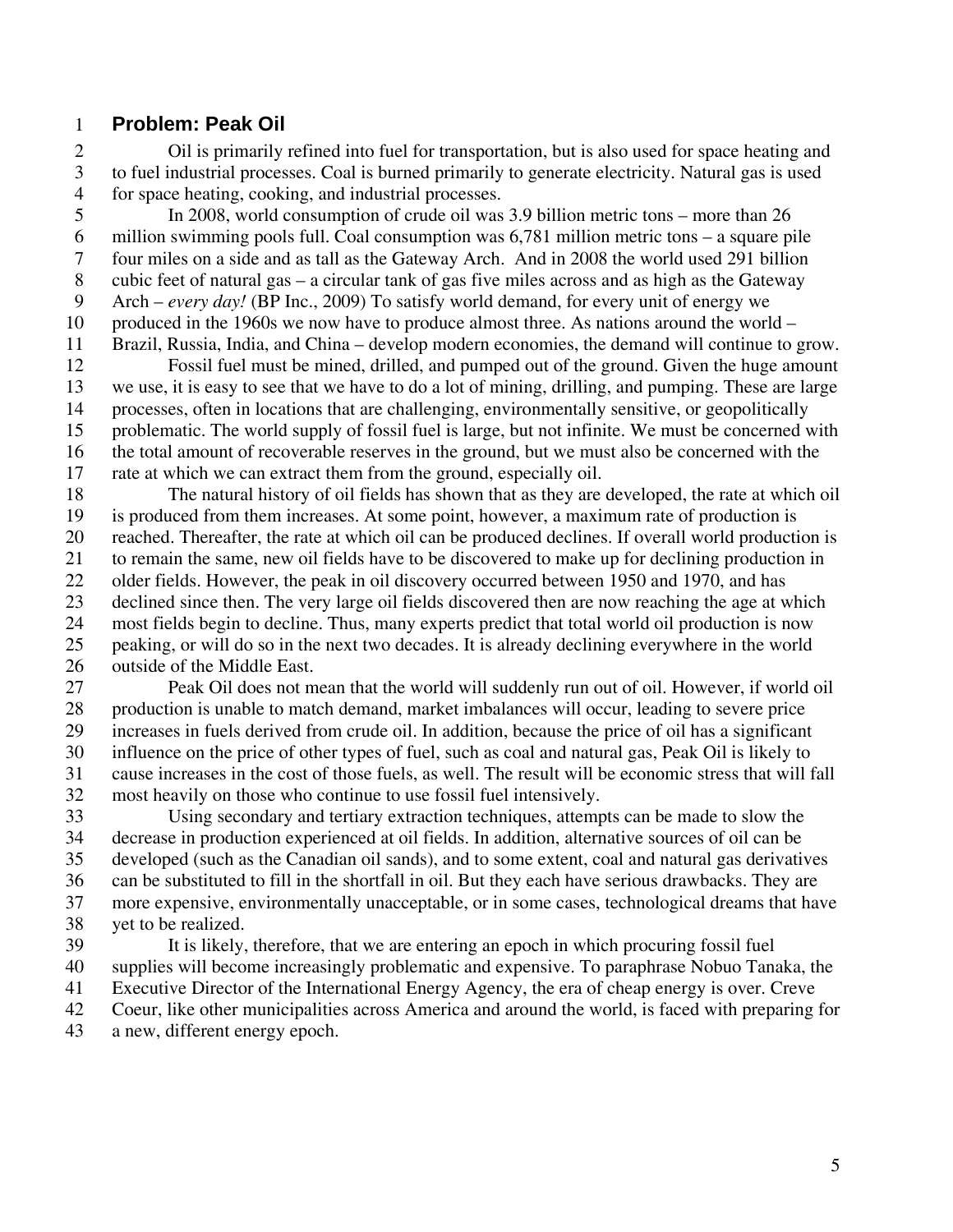### 1 **Problem: Peak Oil**

2 Oil is primarily refined into fuel for transportation, but is also used for space heating and 3 to fuel industrial processes. Coal is burned primarily to generate electricity. Natural gas is used 4 for space heating, cooking, and industrial processes.

5 In 2008, world consumption of crude oil was 3.9 billion metric tons – more than 26 6 million swimming pools full. Coal consumption was 6,781 million metric tons – a square pile 7 four miles on a side and as tall as the Gateway Arch. And in 2008 the world used 291 billion 8 cubic feet of natural gas – a circular tank of gas five miles across and as high as the Gateway 9 Arch – *every day!* (BP Inc., 2009) To satisfy world demand, for every unit of energy we 10 produced in the 1960s we now have to produce almost three. As nations around the world – 11 Brazil, Russia, India, and China – develop modern economies, the demand will continue to grow.

12 Fossil fuel must be mined, drilled, and pumped out of the ground. Given the huge amount 13 we use, it is easy to see that we have to do a lot of mining, drilling, and pumping. These are large 14 processes, often in locations that are challenging, environmentally sensitive, or geopolitically 15 problematic. The world supply of fossil fuel is large, but not infinite. We must be concerned with 16 the total amount of recoverable reserves in the ground, but we must also be concerned with the 17 rate at which we can extract them from the ground, especially oil.

18 The natural history of oil fields has shown that as they are developed, the rate at which oil 19 is produced from them increases. At some point, however, a maximum rate of production is 20 reached. Thereafter, the rate at which oil can be produced declines. If overall world production is 21 to remain the same, new oil fields have to be discovered to make up for declining production in 22 older fields. However, the peak in oil discovery occurred between 1950 and 1970, and has 23 declined since then. The very large oil fields discovered then are now reaching the age at which 24 most fields begin to decline. Thus, many experts predict that total world oil production is now 25 peaking, or will do so in the next two decades. It is already declining everywhere in the world 26 outside of the Middle East.

27 Peak Oil does not mean that the world will suddenly run out of oil. However, if world oil 28 production is unable to match demand, market imbalances will occur, leading to severe price 29 increases in fuels derived from crude oil. In addition, because the price of oil has a significant 30 influence on the price of other types of fuel, such as coal and natural gas, Peak Oil is likely to 31 cause increases in the cost of those fuels, as well. The result will be economic stress that will fall 32 most heavily on those who continue to use fossil fuel intensively.

33 Using secondary and tertiary extraction techniques, attempts can be made to slow the 34 decrease in production experienced at oil fields. In addition, alternative sources of oil can be 35 developed (such as the Canadian oil sands), and to some extent, coal and natural gas derivatives 36 can be substituted to fill in the shortfall in oil. But they each have serious drawbacks. They are 37 more expensive, environmentally unacceptable, or in some cases, technological dreams that have 38 yet to be realized.

39 It is likely, therefore, that we are entering an epoch in which procuring fossil fuel 40 supplies will become increasingly problematic and expensive. To paraphrase Nobuo Tanaka, the 41 Executive Director of the International Energy Agency, the era of cheap energy is over. Creve 42 Coeur, like other municipalities across America and around the world, is faced with preparing for

43 a new, different energy epoch.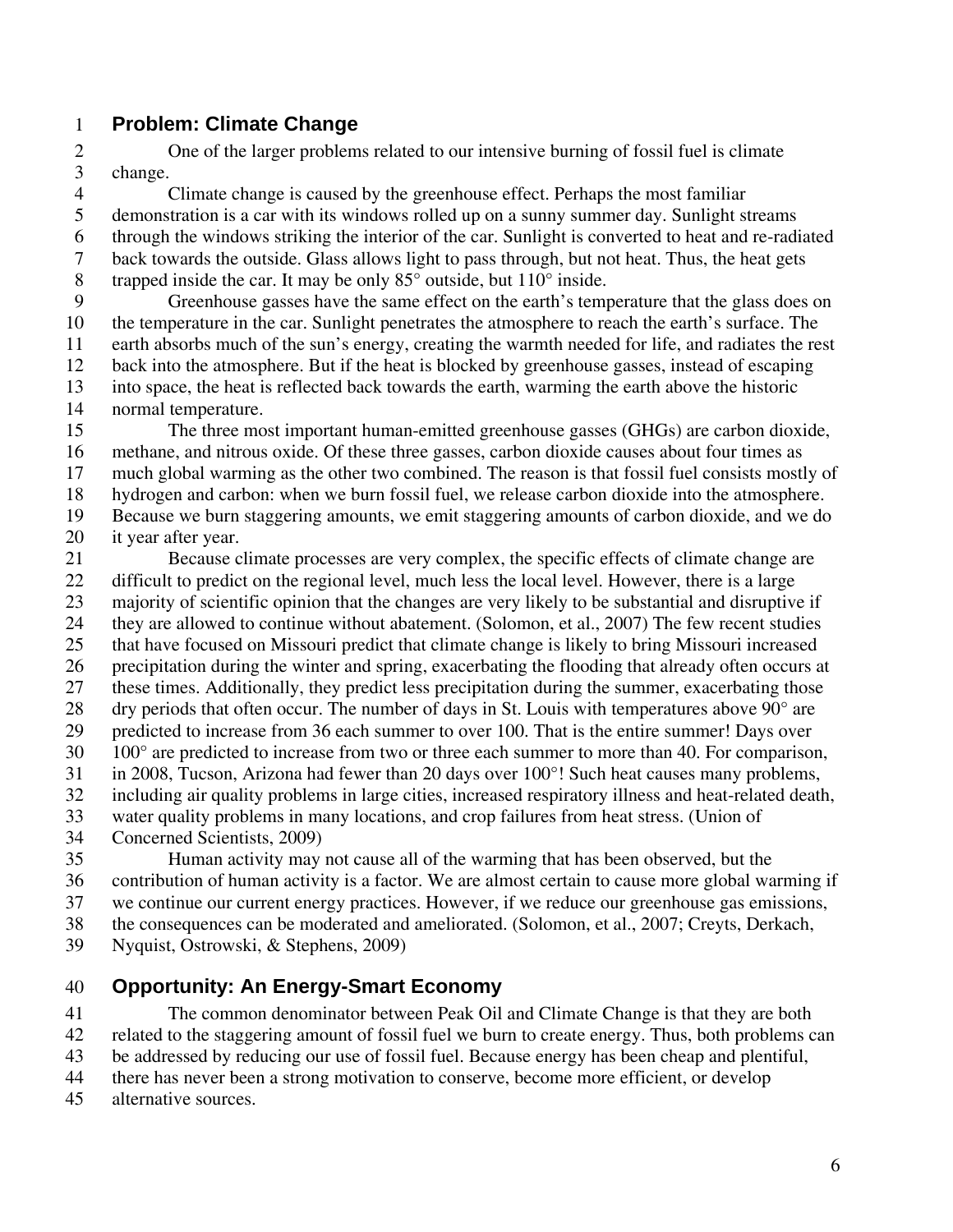## 1 **Problem: Climate Change**

2 One of the larger problems related to our intensive burning of fossil fuel is climate 3 change.

4 Climate change is caused by the greenhouse effect. Perhaps the most familiar 5 demonstration is a car with its windows rolled up on a sunny summer day. Sunlight streams 6 through the windows striking the interior of the car. Sunlight is converted to heat and re-radiated 7 back towards the outside. Glass allows light to pass through, but not heat. Thus, the heat gets 8 trapped inside the car. It may be only 85° outside, but 110° inside.

9 Greenhouse gasses have the same effect on the earth's temperature that the glass does on 10 the temperature in the car. Sunlight penetrates the atmosphere to reach the earth's surface. The 11 earth absorbs much of the sun's energy, creating the warmth needed for life, and radiates the rest 12 back into the atmosphere. But if the heat is blocked by greenhouse gasses, instead of escaping 13 into space, the heat is reflected back towards the earth, warming the earth above the historic 14 normal temperature.

15 The three most important human-emitted greenhouse gasses (GHGs) are carbon dioxide, 16 methane, and nitrous oxide. Of these three gasses, carbon dioxide causes about four times as 17 much global warming as the other two combined. The reason is that fossil fuel consists mostly of 18 hydrogen and carbon: when we burn fossil fuel, we release carbon dioxide into the atmosphere. 19 Because we burn staggering amounts, we emit staggering amounts of carbon dioxide, and we do

20 it year after year.

21 Because climate processes are very complex, the specific effects of climate change are 22 difficult to predict on the regional level, much less the local level. However, there is a large 23 majority of scientific opinion that the changes are very likely to be substantial and disruptive if 24 they are allowed to continue without abatement. (Solomon, et al., 2007) The few recent studies 25 that have focused on Missouri predict that climate change is likely to bring Missouri increased 26 precipitation during the winter and spring, exacerbating the flooding that already often occurs at 27 these times. Additionally, they predict less precipitation during the summer, exacerbating those 28 dry periods that often occur. The number of days in St. Louis with temperatures above 90° are 29 predicted to increase from 36 each summer to over 100. That is the entire summer! Days over 30 100° are predicted to increase from two or three each summer to more than 40. For comparison, 31 in 2008, Tucson, Arizona had fewer than 20 days over 100°! Such heat causes many problems, 32 including air quality problems in large cities, increased respiratory illness and heat-related death, 33 water quality problems in many locations, and crop failures from heat stress. (Union of 34 Concerned Scientists, 2009)

35 Human activity may not cause all of the warming that has been observed, but the 36 contribution of human activity is a factor. We are almost certain to cause more global warming if 37 we continue our current energy practices. However, if we reduce our greenhouse gas emissions, 38 the consequences can be moderated and ameliorated. (Solomon, et al., 2007; Creyts, Derkach,

39 Nyquist, Ostrowski, & Stephens, 2009)

# 40 **Opportunity: An Energy-Smart Economy**

41 The common denominator between Peak Oil and Climate Change is that they are both 42 related to the staggering amount of fossil fuel we burn to create energy. Thus, both problems can 43 be addressed by reducing our use of fossil fuel. Because energy has been cheap and plentiful,

- 44 there has never been a strong motivation to conserve, become more efficient, or develop
- 45 alternative sources.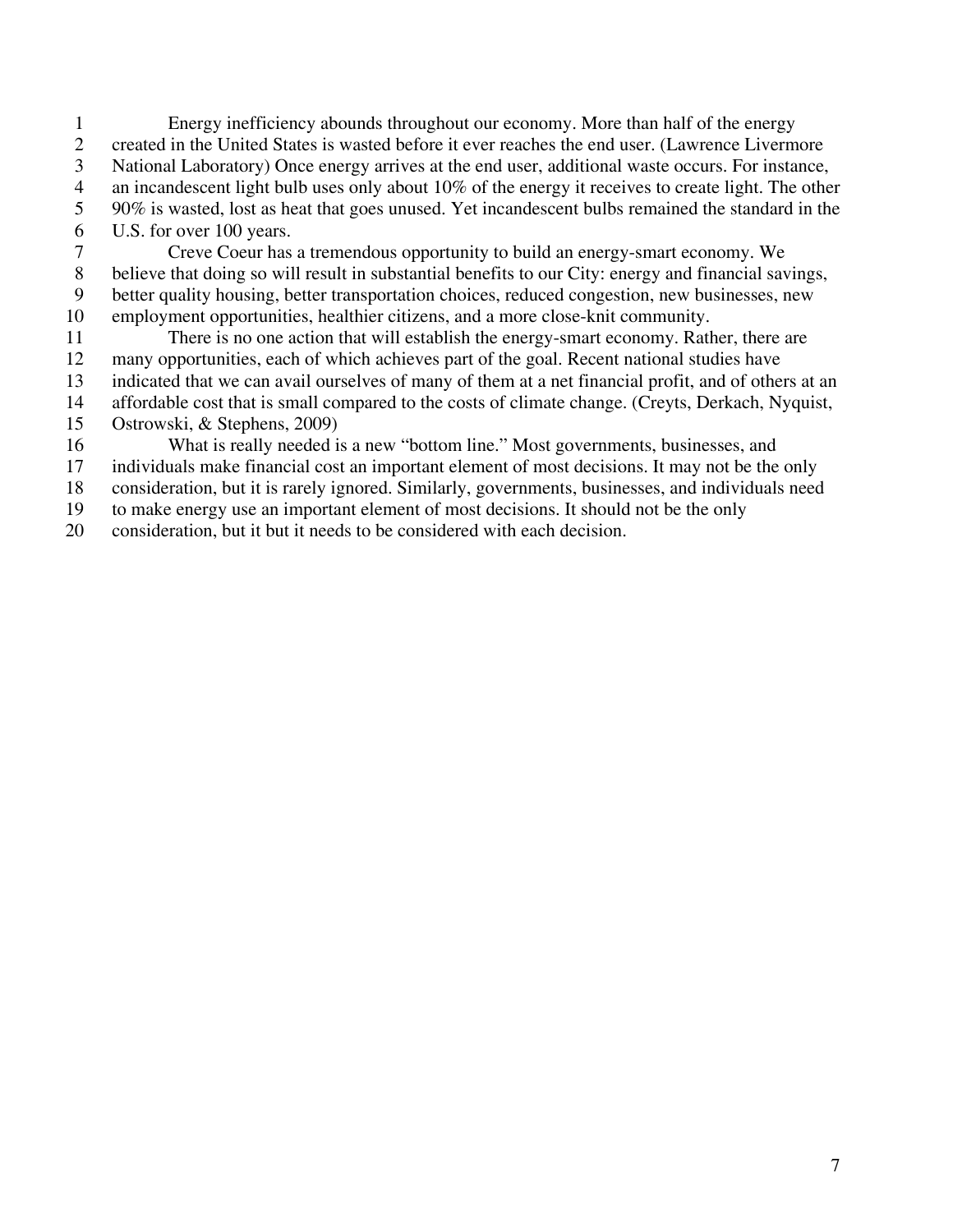1 Energy inefficiency abounds throughout our economy. More than half of the energy 2 created in the United States is wasted before it ever reaches the end user. (Lawrence Livermore 3 National Laboratory) Once energy arrives at the end user, additional waste occurs. For instance, 4 an incandescent light bulb uses only about 10% of the energy it receives to create light. The other 5 90% is wasted, lost as heat that goes unused. Yet incandescent bulbs remained the standard in the 6 U.S. for over 100 years.

7 Creve Coeur has a tremendous opportunity to build an energy-smart economy. We 8 believe that doing so will result in substantial benefits to our City: energy and financial savings, 9 better quality housing, better transportation choices, reduced congestion, new businesses, new 10 employment opportunities, healthier citizens, and a more close-knit community.

11 There is no one action that will establish the energy-smart economy. Rather, there are 12 many opportunities, each of which achieves part of the goal. Recent national studies have

13 indicated that we can avail ourselves of many of them at a net financial profit, and of others at an

14 affordable cost that is small compared to the costs of climate change. (Creyts, Derkach, Nyquist,

15 Ostrowski, & Stephens, 2009)

16 What is really needed is a new "bottom line." Most governments, businesses, and

17 individuals make financial cost an important element of most decisions. It may not be the only

18 consideration, but it is rarely ignored. Similarly, governments, businesses, and individuals need

19 to make energy use an important element of most decisions. It should not be the only

20 consideration, but it but it needs to be considered with each decision.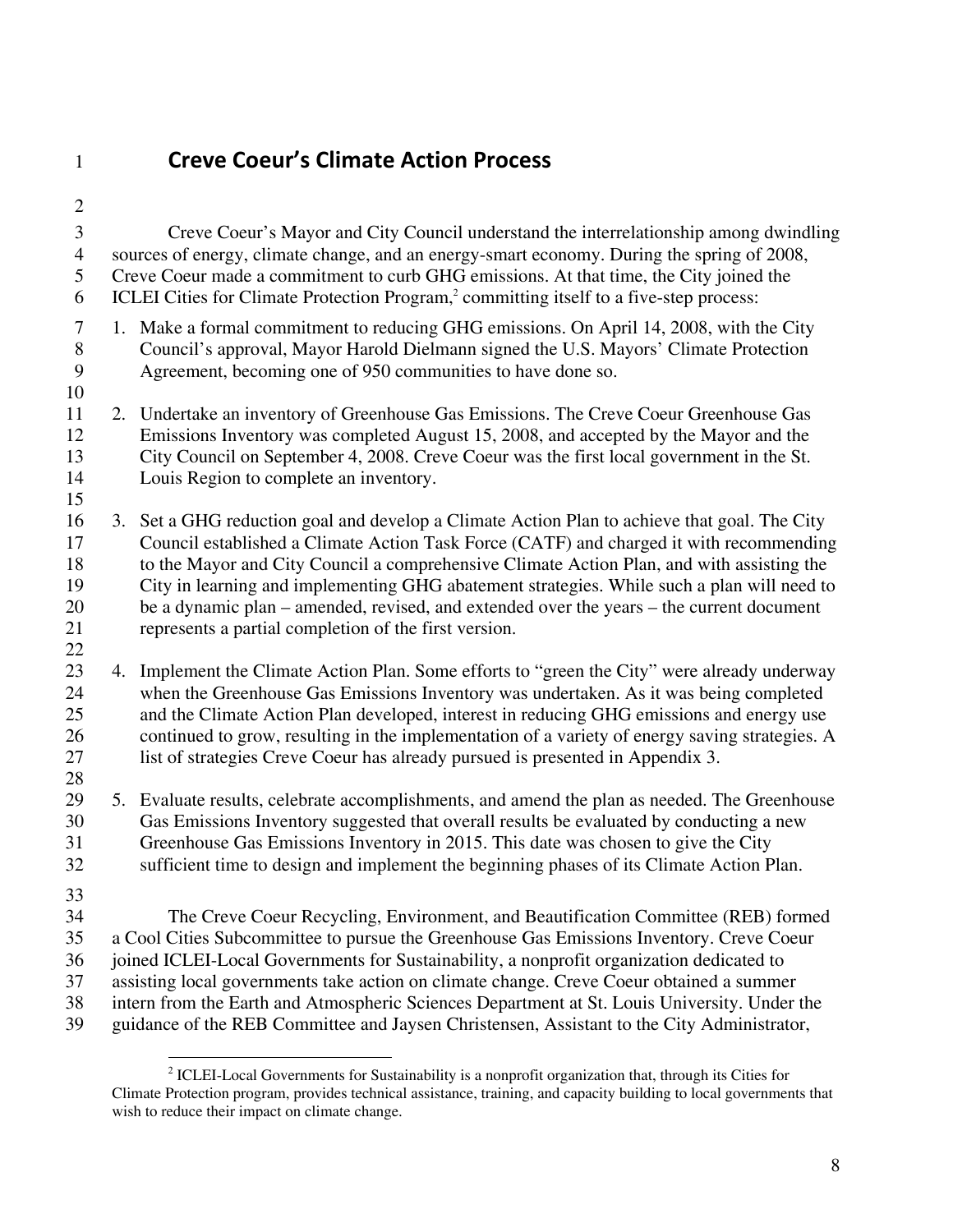# 1 **Creve Coeur's Climate Action Process**

2 3 Creve Coeur's Mayor and City Council understand the interrelationship among dwindling 4 sources of energy, climate change, and an energy-smart economy. During the spring of 2008, 5 Creve Coeur made a commitment to curb GHG emissions. At that time, the City joined the 6 ICLEI Cities for Climate Protection Program,<sup>2</sup> committing itself to a five-step process: 7 1. Make a formal commitment to reducing GHG emissions. On April 14, 2008, with the City 8 Council's approval, Mayor Harold Dielmann signed the U.S. Mayors' Climate Protection 9 Agreement, becoming one of 950 communities to have done so. 10 11 2. Undertake an inventory of Greenhouse Gas Emissions. The Creve Coeur Greenhouse Gas 12 Emissions Inventory was completed August 15, 2008, and accepted by the Mayor and the 13 City Council on September 4, 2008. Creve Coeur was the first local government in the St. 14 Louis Region to complete an inventory. 15 16 3. Set a GHG reduction goal and develop a Climate Action Plan to achieve that goal. The City 17 Council established a Climate Action Task Force (CATF) and charged it with recommending 18 to the Mayor and City Council a comprehensive Climate Action Plan, and with assisting the 19 City in learning and implementing GHG abatement strategies. While such a plan will need to 20 be a dynamic plan – amended, revised, and extended over the years – the current document 21 represents a partial completion of the first version. 22 23 4. Implement the Climate Action Plan. Some efforts to "green the City" were already underway 24 when the Greenhouse Gas Emissions Inventory was undertaken. As it was being completed 25 and the Climate Action Plan developed, interest in reducing GHG emissions and energy use 26 continued to grow, resulting in the implementation of a variety of energy saving strategies. A 27 list of strategies Creve Coeur has already pursued is presented in Appendix 3. 28 29 5. Evaluate results, celebrate accomplishments, and amend the plan as needed. The Greenhouse 30 Gas Emissions Inventory suggested that overall results be evaluated by conducting a new 31 Greenhouse Gas Emissions Inventory in 2015. This date was chosen to give the City 32 sufficient time to design and implement the beginning phases of its Climate Action Plan. 33 34 The Creve Coeur Recycling, Environment, and Beautification Committee (REB) formed 35 a Cool Cities Subcommittee to pursue the Greenhouse Gas Emissions Inventory. Creve Coeur 36 joined ICLEI-Local Governments for Sustainability, a nonprofit organization dedicated to 37 assisting local governments take action on climate change. Creve Coeur obtained a summer 38 intern from the Earth and Atmospheric Sciences Department at St. Louis University. Under the 39 guidance of the REB Committee and Jaysen Christensen, Assistant to the City Administrator,

<sup>&</sup>lt;u>.</u>  $2$  ICLEI-Local Governments for Sustainability is a nonprofit organization that, through its Cities for Climate Protection program, provides technical assistance, training, and capacity building to local governments that wish to reduce their impact on climate change.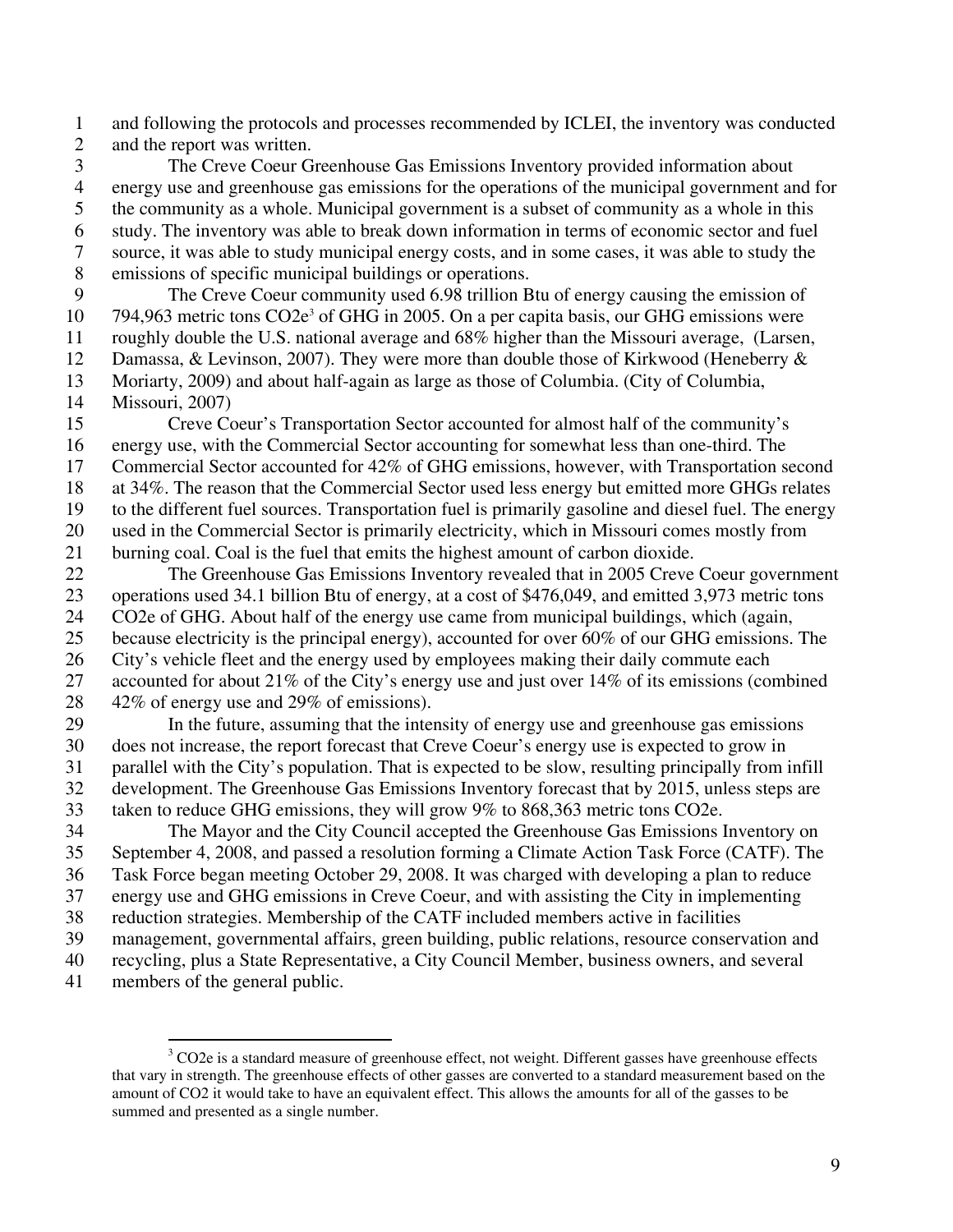1 and following the protocols and processes recommended by ICLEI, the inventory was conducted 2 and the report was written.

3 The Creve Coeur Greenhouse Gas Emissions Inventory provided information about 4 energy use and greenhouse gas emissions for the operations of the municipal government and for 5 the community as a whole. Municipal government is a subset of community as a whole in this 6 study. The inventory was able to break down information in terms of economic sector and fuel 7 source, it was able to study municipal energy costs, and in some cases, it was able to study the 8 emissions of specific municipal buildings or operations.

9 The Creve Coeur community used 6.98 trillion Btu of energy causing the emission of 10 794,963 metric tons CO2e<sup>3</sup> of GHG in 2005. On a per capita basis, our GHG emissions were 11 roughly double the U.S. national average and 68% higher than the Missouri average, (Larsen, 12 Damassa, & Levinson, 2007). They were more than double those of Kirkwood (Heneberry & 13 Moriarty, 2009) and about half-again as large as those of Columbia. (City of Columbia,

14 Missouri, 2007)

15 Creve Coeur's Transportation Sector accounted for almost half of the community's 16 energy use, with the Commercial Sector accounting for somewhat less than one-third. The 17 Commercial Sector accounted for 42% of GHG emissions, however, with Transportation second 18 at 34%. The reason that the Commercial Sector used less energy but emitted more GHGs relates 19 to the different fuel sources. Transportation fuel is primarily gasoline and diesel fuel. The energy 20 used in the Commercial Sector is primarily electricity, which in Missouri comes mostly from 21 burning coal. Coal is the fuel that emits the highest amount of carbon dioxide.

22 The Greenhouse Gas Emissions Inventory revealed that in 2005 Creve Coeur government 23 operations used 34.1 billion Btu of energy, at a cost of \$476,049, and emitted 3,973 metric tons 24 CO2e of GHG. About half of the energy use came from municipal buildings, which (again, 25 because electricity is the principal energy), accounted for over 60% of our GHG emissions. The 26 City's vehicle fleet and the energy used by employees making their daily commute each 27 accounted for about 21% of the City's energy use and just over 14% of its emissions (combined 28 42% of energy use and 29% of emissions).

29 In the future, assuming that the intensity of energy use and greenhouse gas emissions 30 does not increase, the report forecast that Creve Coeur's energy use is expected to grow in 31 parallel with the City's population. That is expected to be slow, resulting principally from infill 32 development. The Greenhouse Gas Emissions Inventory forecast that by 2015, unless steps are 33 taken to reduce GHG emissions, they will grow 9% to 868,363 metric tons CO2e.

34 The Mayor and the City Council accepted the Greenhouse Gas Emissions Inventory on 35 September 4, 2008, and passed a resolution forming a Climate Action Task Force (CATF). The

36 Task Force began meeting October 29, 2008. It was charged with developing a plan to reduce

37 energy use and GHG emissions in Creve Coeur, and with assisting the City in implementing

- 38 reduction strategies. Membership of the CATF included members active in facilities
- 39 management, governmental affairs, green building, public relations, resource conservation and 40 recycling, plus a State Representative, a City Council Member, business owners, and several
- 
- 41 members of the general public.

 $\overline{a}$ 

 $3$  CO2e is a standard measure of greenhouse effect, not weight. Different gasses have greenhouse effects that vary in strength. The greenhouse effects of other gasses are converted to a standard measurement based on the amount of CO2 it would take to have an equivalent effect. This allows the amounts for all of the gasses to be summed and presented as a single number.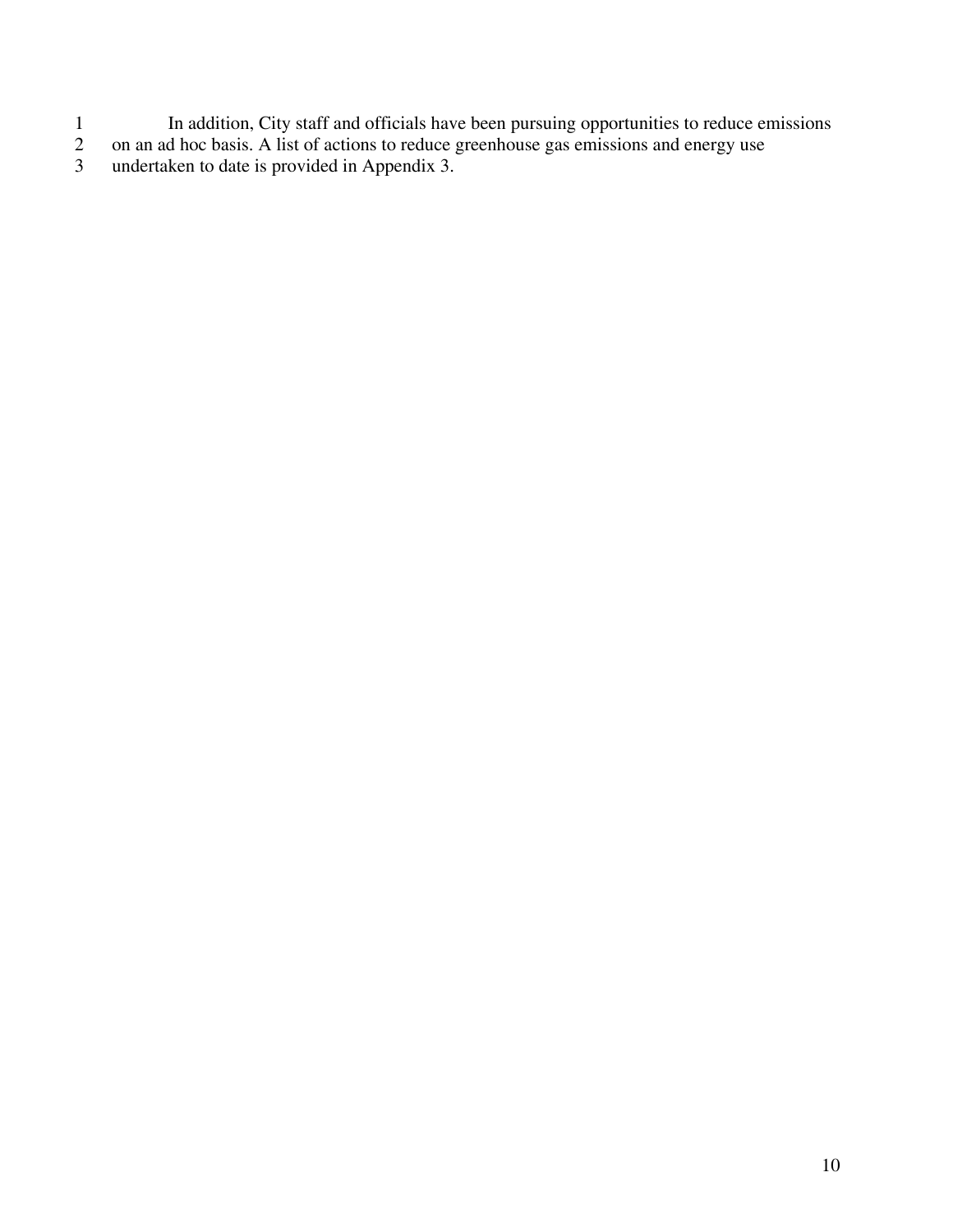- 1 In addition, City staff and officials have been pursuing opportunities to reduce emissions
- 2 on an ad hoc basis. A list of actions to reduce greenhouse gas emissions and energy use
- 3 undertaken to date is provided in Appendix 3.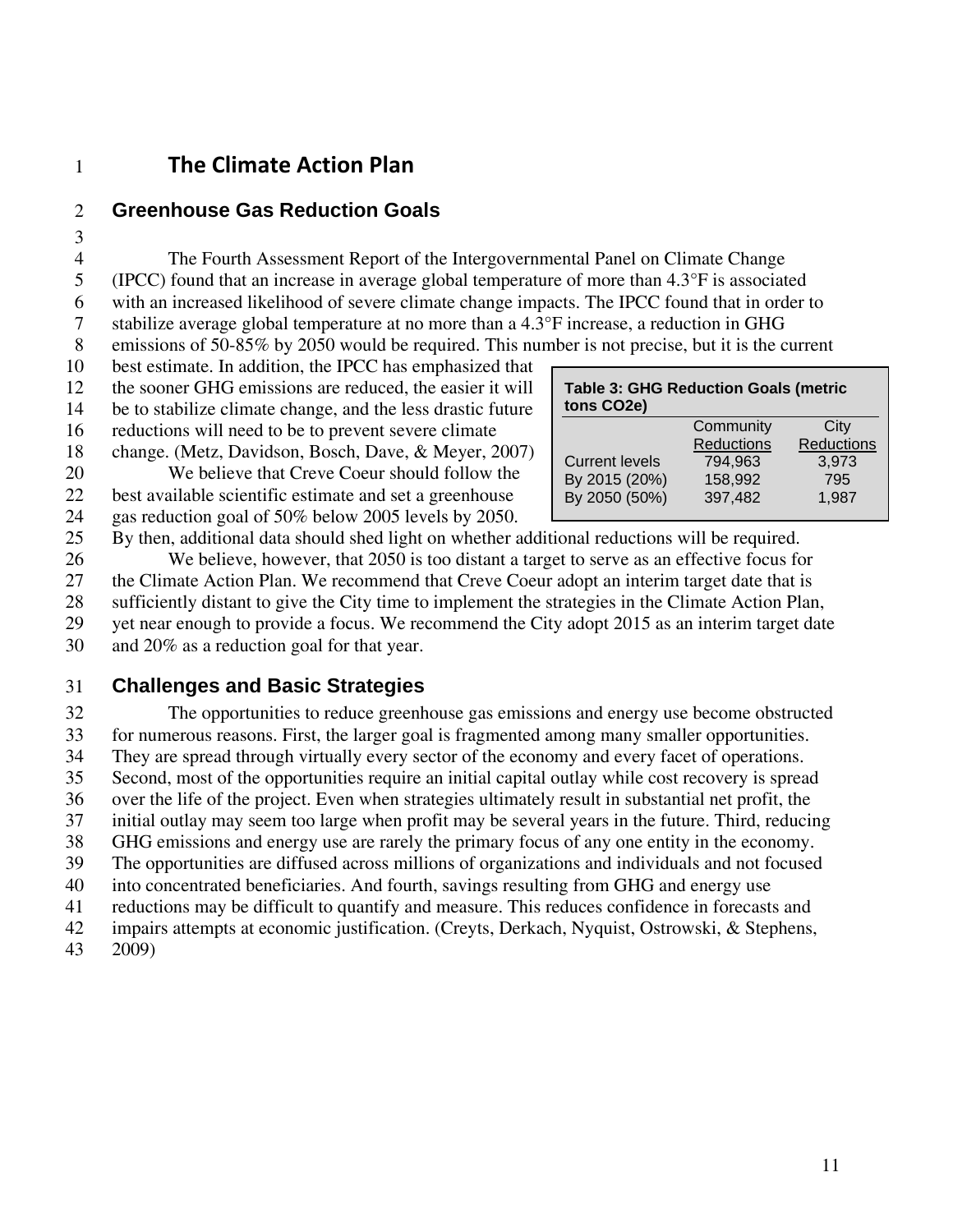# 1 **The Climate Action Plan**

### 2 **Greenhouse Gas Reduction Goals**

3

4 The Fourth Assessment Report of the Intergovernmental Panel on Climate Change 5 (IPCC) found that an increase in average global temperature of more than 4.3°F is associated 6 with an increased likelihood of severe climate change impacts. The IPCC found that in order to 7 stabilize average global temperature at no more than a 4.3°F increase, a reduction in GHG 8 emissions of 50-85% by 2050 would be required. This number is not precise, but it is the current

10 best estimate. In addition, the IPCC has emphasized that

12 the sooner GHG emissions are reduced, the easier it will 14 be to stabilize climate change, and the less drastic future

16 reductions will need to be to prevent severe climate

18 change. (Metz, Davidson, Bosch, Dave, & Meyer, 2007)

20 We believe that Creve Coeur should follow the

22 best available scientific estimate and set a greenhouse

24 gas reduction goal of 50% below 2005 levels by 2050.

| <b>Table 3: GHG Reduction Goals (metric</b><br>tons CO2e) |                   |            |  |  |
|-----------------------------------------------------------|-------------------|------------|--|--|
|                                                           | Community         | City       |  |  |
|                                                           | <b>Reductions</b> | Reductions |  |  |
| <b>Current levels</b>                                     | 794,963           | 3,973      |  |  |
| By 2015 (20%)                                             | 158,992           | 795        |  |  |
| By 2050 (50%)                                             | 397,482           | 1.987      |  |  |

25 By then, additional data should shed light on whether additional reductions will be required. 26 We believe, however, that 2050 is too distant a target to serve as an effective focus for 27 the Climate Action Plan. We recommend that Creve Coeur adopt an interim target date that is 28 sufficiently distant to give the City time to implement the strategies in the Climate Action Plan, 29 yet near enough to provide a focus. We recommend the City adopt 2015 as an interim target date

30 and 20% as a reduction goal for that year.

### 31 **Challenges and Basic Strategies**

32 The opportunities to reduce greenhouse gas emissions and energy use become obstructed 33 for numerous reasons. First, the larger goal is fragmented among many smaller opportunities. 34 They are spread through virtually every sector of the economy and every facet of operations. 35 Second, most of the opportunities require an initial capital outlay while cost recovery is spread 36 over the life of the project. Even when strategies ultimately result in substantial net profit, the 37 initial outlay may seem too large when profit may be several years in the future. Third, reducing 38 GHG emissions and energy use are rarely the primary focus of any one entity in the economy. 39 The opportunities are diffused across millions of organizations and individuals and not focused 40 into concentrated beneficiaries. And fourth, savings resulting from GHG and energy use 41 reductions may be difficult to quantify and measure. This reduces confidence in forecasts and 42 impairs attempts at economic justification. (Creyts, Derkach, Nyquist, Ostrowski, & Stephens, 43 2009)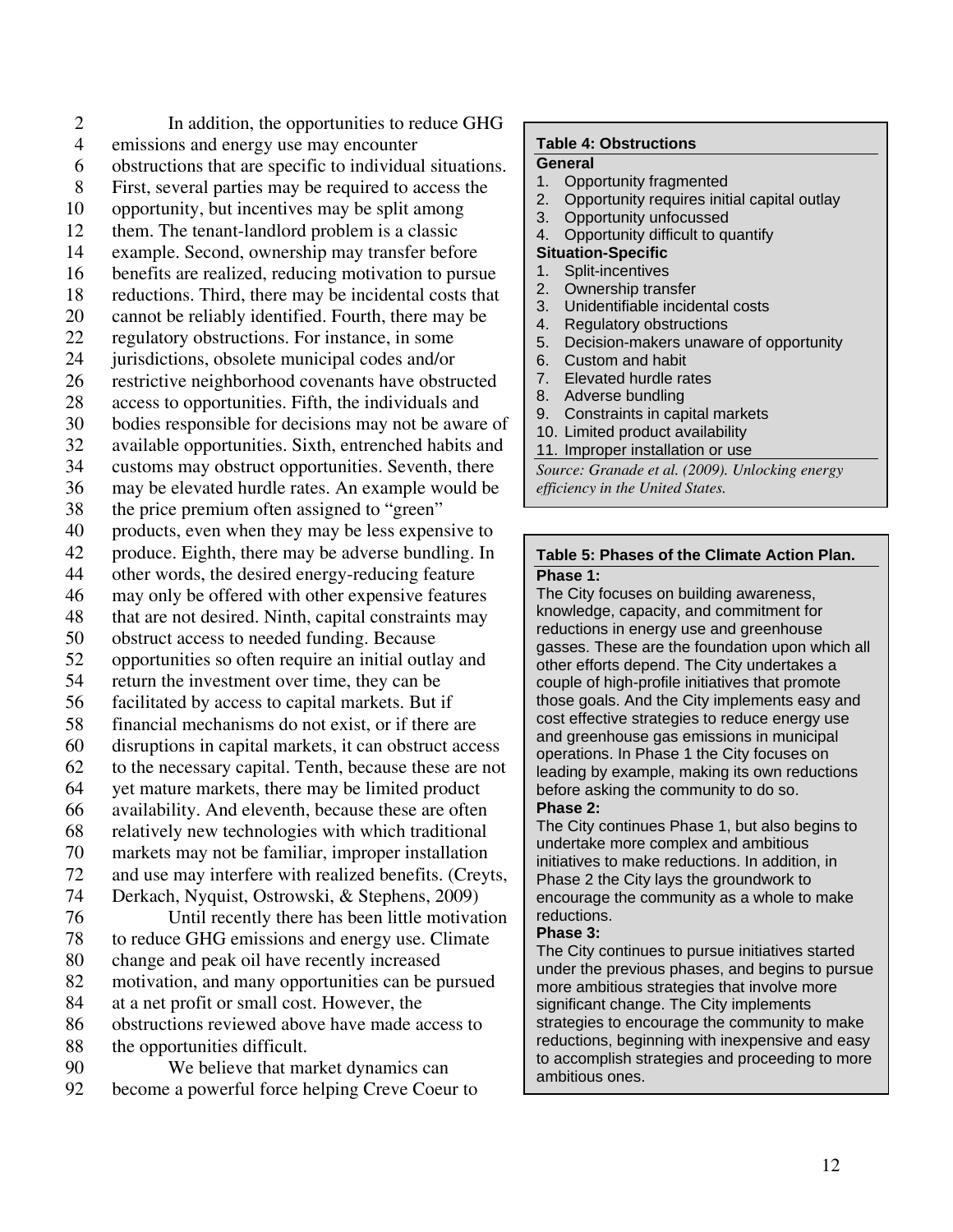2 In addition, the opportunities to reduce GHG 4 emissions and energy use may encounter 6 obstructions that are specific to individual situations. 8 First, several parties may be required to access the 10 opportunity, but incentives may be split among 12 them. The tenant-landlord problem is a classic 14 example. Second, ownership may transfer before 16 benefits are realized, reducing motivation to pursue 18 reductions. Third, there may be incidental costs that 20 cannot be reliably identified. Fourth, there may be 22 regulatory obstructions. For instance, in some 24 jurisdictions, obsolete municipal codes and/or 26 restrictive neighborhood covenants have obstructed 28 access to opportunities. Fifth, the individuals and 30 bodies responsible for decisions may not be aware of 32 available opportunities. Sixth, entrenched habits and 34 customs may obstruct opportunities. Seventh, there 36 may be elevated hurdle rates. An example would be 38 the price premium often assigned to "green" 40 products, even when they may be less expensive to 42 produce. Eighth, there may be adverse bundling. In 44 other words, the desired energy-reducing feature 46 may only be offered with other expensive features 48 that are not desired. Ninth, capital constraints may 50 obstruct access to needed funding. Because 52 opportunities so often require an initial outlay and 54 return the investment over time, they can be 56 facilitated by access to capital markets. But if 58 financial mechanisms do not exist, or if there are 60 disruptions in capital markets, it can obstruct access 62 to the necessary capital. Tenth, because these are not 64 yet mature markets, there may be limited product 66 availability. And eleventh, because these are often 68 relatively new technologies with which traditional 70 markets may not be familiar, improper installation 72 and use may interfere with realized benefits. (Creyts, 74 Derkach, Nyquist, Ostrowski, & Stephens, 2009) 76 Until recently there has been little motivation 78 to reduce GHG emissions and energy use. Climate 80 change and peak oil have recently increased 82 motivation, and many opportunities can be pursued 84 at a net profit or small cost. However, the 86 obstructions reviewed above have made access to 88 the opportunities difficult. 90 We believe that market dynamics can

92 become a powerful force helping Creve Coeur to

#### **Table 4: Obstructions**

#### **General**

- 1. Opportunity fragmented
- 2. Opportunity requires initial capital outlay
- 3. Opportunity unfocussed
- 4. Opportunity difficult to quantify

#### **Situation-Specific**

- 1. Split-incentives
- 2. Ownership transfer
- 3. Unidentifiable incidental costs
- 4. Regulatory obstructions
- 5. Decision-makers unaware of opportunity
- 6. Custom and habit
- 7. Elevated hurdle rates
- 8. Adverse bundling
- 9. Constraints in capital markets
- 10. Limited product availability
- 11. Improper installation or use

*Source: Granade et al. (2009). Unlocking energy efficiency in the United States.* 

#### **Table 5: Phases of the Climate Action Plan. Phase 1:**

The City focuses on building awareness, knowledge, capacity, and commitment for reductions in energy use and greenhouse gasses. These are the foundation upon which all other efforts depend. The City undertakes a couple of high-profile initiatives that promote those goals. And the City implements easy and cost effective strategies to reduce energy use and greenhouse gas emissions in municipal operations. In Phase 1 the City focuses on leading by example, making its own reductions before asking the community to do so. **Phase 2:** 

The City continues Phase 1, but also begins to undertake more complex and ambitious initiatives to make reductions. In addition, in Phase 2 the City lays the groundwork to encourage the community as a whole to make reductions.

#### **Phase 3:**

The City continues to pursue initiatives started under the previous phases, and begins to pursue more ambitious strategies that involve more significant change. The City implements strategies to encourage the community to make reductions, beginning with inexpensive and easy to accomplish strategies and proceeding to more ambitious ones.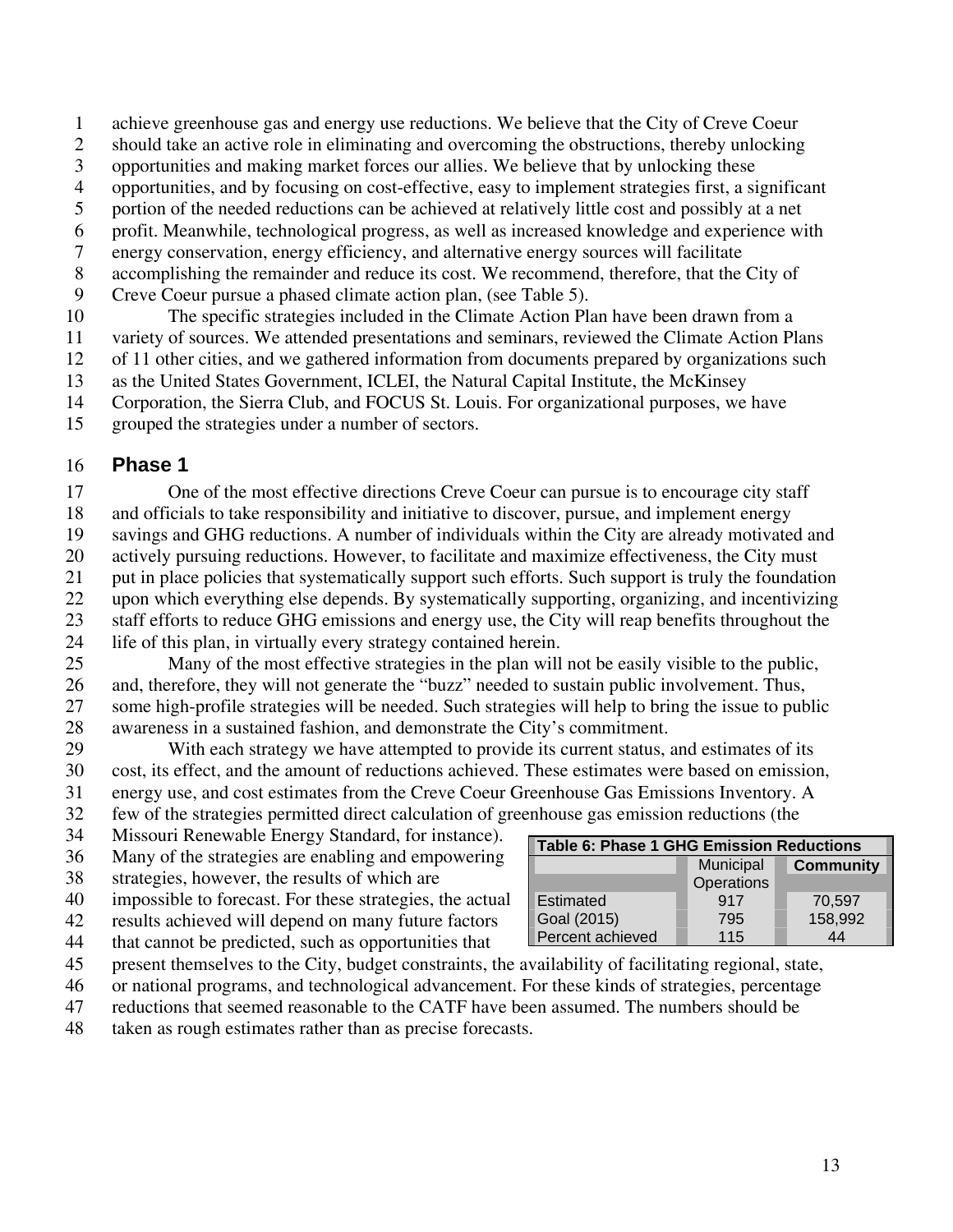1 achieve greenhouse gas and energy use reductions. We believe that the City of Creve Coeur

- 2 should take an active role in eliminating and overcoming the obstructions, thereby unlocking
- 3 opportunities and making market forces our allies. We believe that by unlocking these
- 4 opportunities, and by focusing on cost-effective, easy to implement strategies first, a significant
- 5 portion of the needed reductions can be achieved at relatively little cost and possibly at a net
- 6 profit. Meanwhile, technological progress, as well as increased knowledge and experience with
- 7 energy conservation, energy efficiency, and alternative energy sources will facilitate
- 8 accomplishing the remainder and reduce its cost. We recommend, therefore, that the City of
- 9 Creve Coeur pursue a phased climate action plan, (see Table 5).
- 10 The specific strategies included in the Climate Action Plan have been drawn from a
- 11 variety of sources. We attended presentations and seminars, reviewed the Climate Action Plans
- 12 of 11 other cities, and we gathered information from documents prepared by organizations such
- 13 as the United States Government, ICLEI, the Natural Capital Institute, the McKinsey
- 14 Corporation, the Sierra Club, and FOCUS St. Louis. For organizational purposes, we have
- 15 grouped the strategies under a number of sectors.

### 16 **Phase 1**

17 One of the most effective directions Creve Coeur can pursue is to encourage city staff 18 and officials to take responsibility and initiative to discover, pursue, and implement energy 19 savings and GHG reductions. A number of individuals within the City are already motivated and 20 actively pursuing reductions. However, to facilitate and maximize effectiveness, the City must 21 put in place policies that systematically support such efforts. Such support is truly the foundation 22 upon which everything else depends. By systematically supporting, organizing, and incentivizing 23 staff efforts to reduce GHG emissions and energy use, the City will reap benefits throughout the 24 life of this plan, in virtually every strategy contained herein.

25 Many of the most effective strategies in the plan will not be easily visible to the public, 26 and, therefore, they will not generate the "buzz" needed to sustain public involvement. Thus, 27 some high-profile strategies will be needed. Such strategies will help to bring the issue to public 28 awareness in a sustained fashion, and demonstrate the City's commitment.

29 With each strategy we have attempted to provide its current status, and estimates of its 30 cost, its effect, and the amount of reductions achieved. These estimates were based on emission, 31 energy use, and cost estimates from the Creve Coeur Greenhouse Gas Emissions Inventory. A 32 few of the strategies permitted direct calculation of greenhouse gas emission reductions (the

- 34 Missouri Renewable Energy Standard, for instance).
- 36 Many of the strategies are enabling and empowering
- 38 strategies, however, the results of which are
- 40 impossible to forecast. For these strategies, the actual
- 42 results achieved will depend on many future factors
- 44 that cannot be predicted, such as opportunities that
- 45 present themselves to the City, budget constraints, the availability of facilitating regional, state,
- 46 or national programs, and technological advancement. For these kinds of strategies, percentage
- 47 reductions that seemed reasonable to the CATF have been assumed. The numbers should be
- 48 taken as rough estimates rather than as precise forecasts.

| <b>Table 6: Phase 1 GHG Emission Reductions</b> |            |  |                  |
|-------------------------------------------------|------------|--|------------------|
|                                                 | Municipal  |  | <b>Community</b> |
|                                                 | Operations |  |                  |
| Estimated                                       | 917        |  | 70,597           |
| Goal (2015)                                     | 795        |  | 158,992          |
| Percent achieved                                | 115        |  | 44               |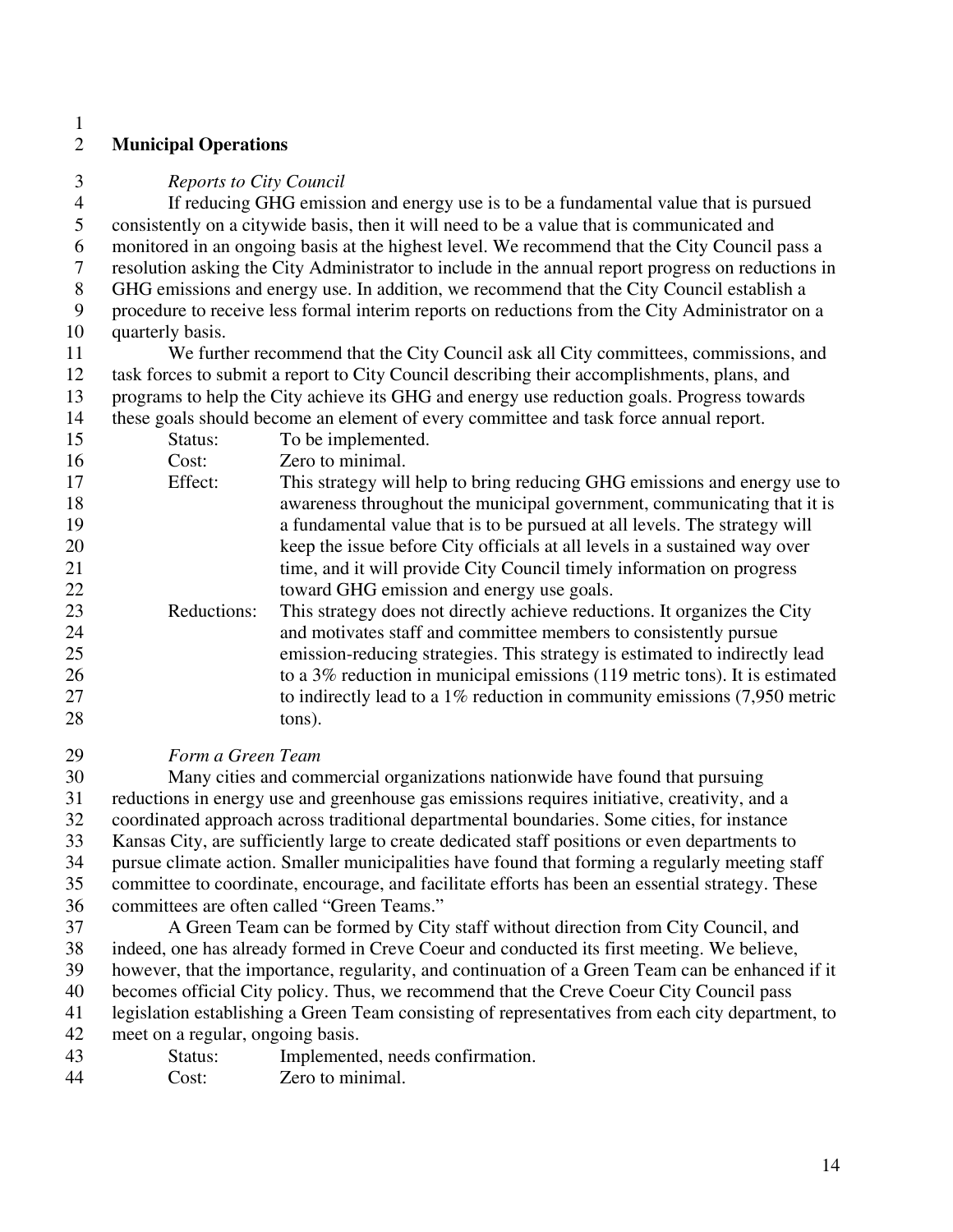### 2 **Municipal Operations**

1

3 *Reports to City Council* 

4 If reducing GHG emission and energy use is to be a fundamental value that is pursued 5 consistently on a citywide basis, then it will need to be a value that is communicated and 6 monitored in an ongoing basis at the highest level. We recommend that the City Council pass a 7 resolution asking the City Administrator to include in the annual report progress on reductions in 8 GHG emissions and energy use. In addition, we recommend that the City Council establish a 9 procedure to receive less formal interim reports on reductions from the City Administrator on a 10 quarterly basis.

11 We further recommend that the City Council ask all City committees, commissions, and 12 task forces to submit a report to City Council describing their accomplishments, plans, and 13 programs to help the City achieve its GHG and energy use reduction goals. Progress towards 14 these goals should become an element of every committee and task force annual report.

| Status:     | To be implemented.                                                           |
|-------------|------------------------------------------------------------------------------|
| Cost:       | Zero to minimal.                                                             |
| Effect:     | This strategy will help to bring reducing GHG emissions and energy use to    |
|             | awareness throughout the municipal government, communicating that it is      |
|             | a fundamental value that is to be pursued at all levels. The strategy will   |
|             | keep the issue before City officials at all levels in a sustained way over   |
|             | time, and it will provide City Council timely information on progress        |
|             | toward GHG emission and energy use goals.                                    |
| Reductions: | This strategy does not directly achieve reductions. It organizes the City    |
|             | and motivates staff and committee members to consistently pursue             |
|             | emission-reducing strategies. This strategy is estimated to indirectly lead  |
|             | to a 3% reduction in municipal emissions (119 metric tons). It is estimated  |
|             | to indirectly lead to a $1\%$ reduction in community emissions (7,950 metric |
|             | tons).                                                                       |
|             |                                                                              |

29 *Form a Green Team* 

30 Many cities and commercial organizations nationwide have found that pursuing 31 reductions in energy use and greenhouse gas emissions requires initiative, creativity, and a 32 coordinated approach across traditional departmental boundaries. Some cities, for instance 33 Kansas City, are sufficiently large to create dedicated staff positions or even departments to 34 pursue climate action. Smaller municipalities have found that forming a regularly meeting staff 35 committee to coordinate, encourage, and facilitate efforts has been an essential strategy. These 36 committees are often called "Green Teams."

37 A Green Team can be formed by City staff without direction from City Council, and 38 indeed, one has already formed in Creve Coeur and conducted its first meeting. We believe, 39 however, that the importance, regularity, and continuation of a Green Team can be enhanced if it 40 becomes official City policy. Thus, we recommend that the Creve Coeur City Council pass

41 legislation establishing a Green Team consisting of representatives from each city department, to

42 meet on a regular, ongoing basis.

- 43 Status: Implemented, needs confirmation.
- 44 Cost: Zero to minimal.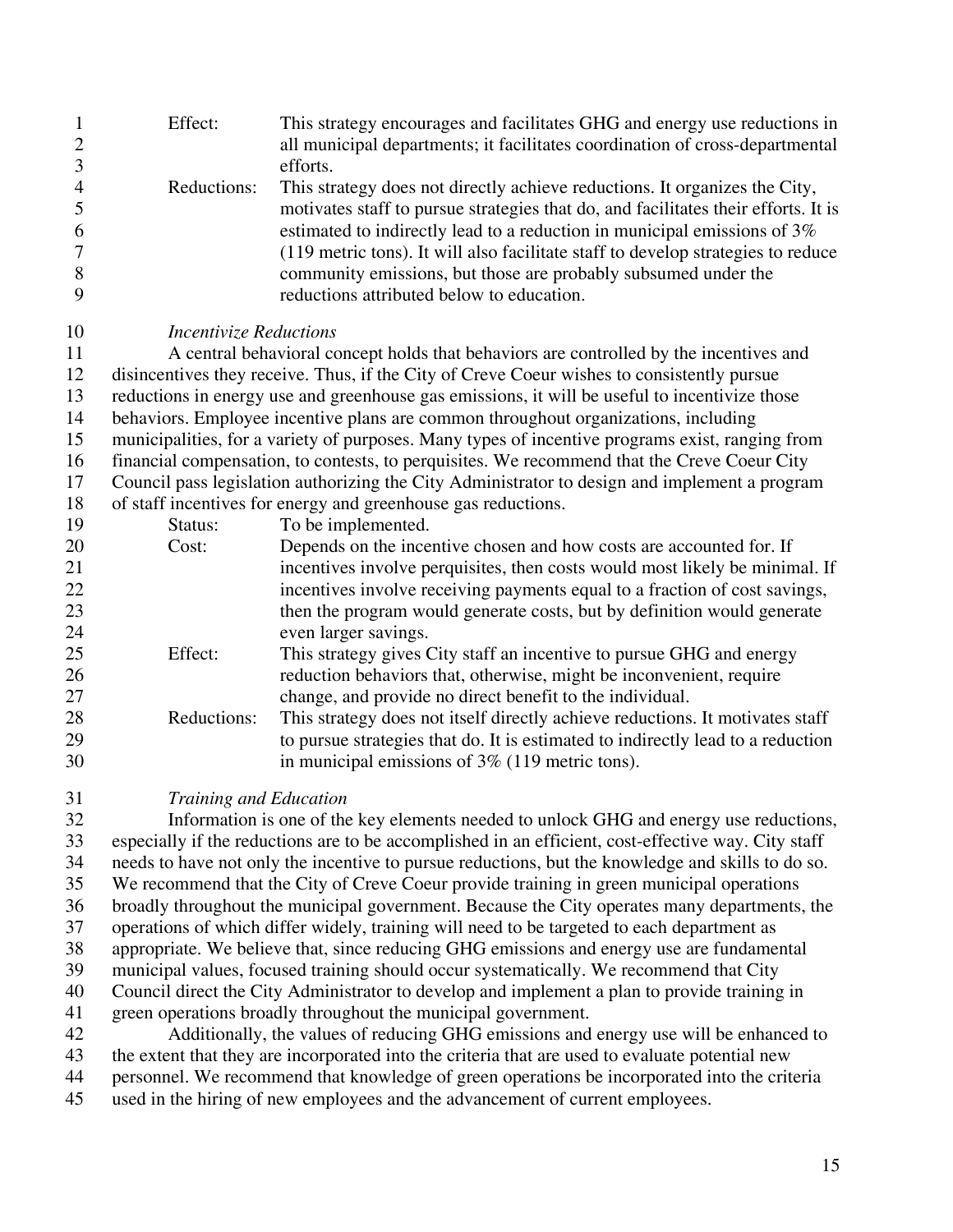| $\mathbf{1}$<br>$\overline{2}$ | Effect:                                                                                       | This strategy encourages and facilitates GHG and energy use reductions in<br>all municipal departments; it facilitates coordination of cross-departmental |  |  |  |
|--------------------------------|-----------------------------------------------------------------------------------------------|-----------------------------------------------------------------------------------------------------------------------------------------------------------|--|--|--|
| 3                              |                                                                                               | efforts.                                                                                                                                                  |  |  |  |
| $\overline{4}$                 | Reductions:                                                                                   | This strategy does not directly achieve reductions. It organizes the City,                                                                                |  |  |  |
| 5                              |                                                                                               | motivates staff to pursue strategies that do, and facilitates their efforts. It is                                                                        |  |  |  |
| 6                              |                                                                                               | estimated to indirectly lead to a reduction in municipal emissions of 3%                                                                                  |  |  |  |
| 7                              |                                                                                               | (119 metric tons). It will also facilitate staff to develop strategies to reduce                                                                          |  |  |  |
| 8                              |                                                                                               | community emissions, but those are probably subsumed under the                                                                                            |  |  |  |
| 9                              |                                                                                               | reductions attributed below to education.                                                                                                                 |  |  |  |
| 10                             | <i><b>Incentivize Reductions</b></i>                                                          |                                                                                                                                                           |  |  |  |
| 11                             |                                                                                               | A central behavioral concept holds that behaviors are controlled by the incentives and                                                                    |  |  |  |
| 12                             |                                                                                               | disincentives they receive. Thus, if the City of Creve Coeur wishes to consistently pursue                                                                |  |  |  |
| 13                             |                                                                                               | reductions in energy use and greenhouse gas emissions, it will be useful to incentivize those                                                             |  |  |  |
| 14                             |                                                                                               | behaviors. Employee incentive plans are common throughout organizations, including                                                                        |  |  |  |
| 15                             |                                                                                               | municipalities, for a variety of purposes. Many types of incentive programs exist, ranging from                                                           |  |  |  |
| 16                             | financial compensation, to contests, to perquisites. We recommend that the Creve Coeur City   |                                                                                                                                                           |  |  |  |
| 17                             | Council pass legislation authorizing the City Administrator to design and implement a program |                                                                                                                                                           |  |  |  |
| 18                             |                                                                                               | of staff incentives for energy and greenhouse gas reductions.                                                                                             |  |  |  |
| 19                             | Status:                                                                                       | To be implemented.                                                                                                                                        |  |  |  |
| 20                             | Cost:                                                                                         | Depends on the incentive chosen and how costs are accounted for. If                                                                                       |  |  |  |
| 21                             |                                                                                               | incentives involve perquisites, then costs would most likely be minimal. If                                                                               |  |  |  |
| 22                             |                                                                                               | incentives involve receiving payments equal to a fraction of cost savings,                                                                                |  |  |  |
| 23                             |                                                                                               | then the program would generate costs, but by definition would generate                                                                                   |  |  |  |
| 24                             |                                                                                               | even larger savings.                                                                                                                                      |  |  |  |
| 25<br>26                       | Effect:                                                                                       | This strategy gives City staff an incentive to pursue GHG and energy                                                                                      |  |  |  |
| 27                             |                                                                                               | reduction behaviors that, otherwise, might be inconvenient, require<br>change, and provide no direct benefit to the individual.                           |  |  |  |
| 28                             | Reductions:                                                                                   | This strategy does not itself directly achieve reductions. It motivates staff                                                                             |  |  |  |
| 29                             |                                                                                               | to pursue strategies that do. It is estimated to indirectly lead to a reduction                                                                           |  |  |  |
| 30                             |                                                                                               | in municipal emissions of $3\%$ (119 metric tons).                                                                                                        |  |  |  |
|                                |                                                                                               |                                                                                                                                                           |  |  |  |

31 *Training and Education* 

32 Information is one of the key elements needed to unlock GHG and energy use reductions, 33 especially if the reductions are to be accomplished in an efficient, cost-effective way. City staff 34 needs to have not only the incentive to pursue reductions, but the knowledge and skills to do so. 35 We recommend that the City of Creve Coeur provide training in green municipal operations 36 broadly throughout the municipal government. Because the City operates many departments, the 37 operations of which differ widely, training will need to be targeted to each department as 38 appropriate. We believe that, since reducing GHG emissions and energy use are fundamental 39 municipal values, focused training should occur systematically. We recommend that City 40 Council direct the City Administrator to develop and implement a plan to provide training in 41 green operations broadly throughout the municipal government. 42 Additionally, the values of reducing GHG emissions and energy use will be enhanced to

- 43 the extent that they are incorporated into the criteria that are used to evaluate potential new
- 44 personnel. We recommend that knowledge of green operations be incorporated into the criteria
- 45 used in the hiring of new employees and the advancement of current employees.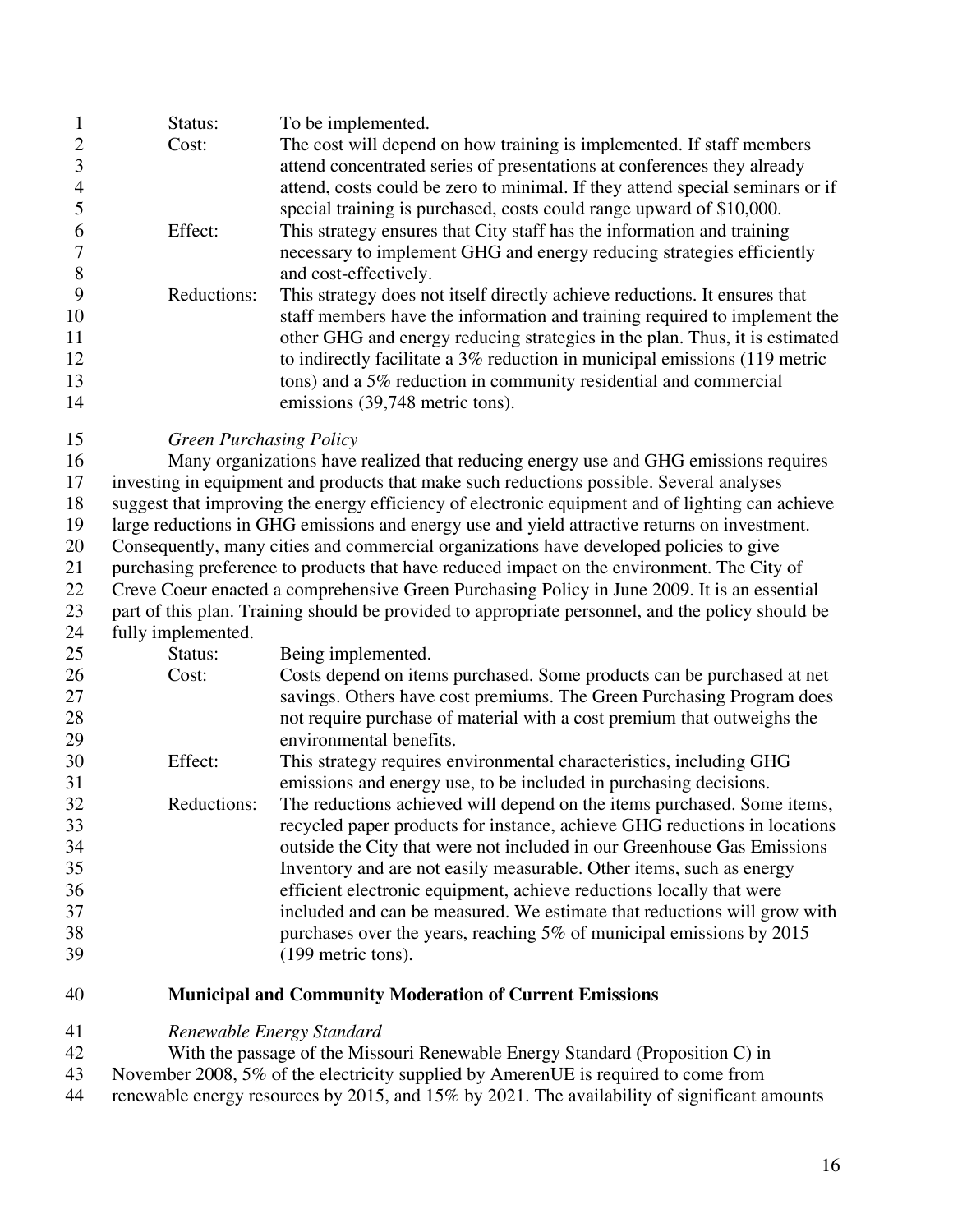|          | Status:         | To be implemented.                                                            |
|----------|-----------------|-------------------------------------------------------------------------------|
|          | Cost:           | The cost will depend on how training is implemented. If staff members         |
|          |                 | attend concentrated series of presentations at conferences they already       |
|          |                 | attend, costs could be zero to minimal. If they attend special seminars or if |
|          |                 | special training is purchased, costs could range upward of \$10,000.          |
| $\sigma$ | Effect:         | This strategy ensures that City staff has the information and training        |
|          |                 | necessary to implement GHG and energy reducing strategies efficiently         |
| 8        |                 | and cost-effectively.                                                         |
| 9        | Reductions:     | This strategy does not itself directly achieve reductions. It ensures that    |
| 10       |                 | staff members have the information and training required to implement the     |
| 11       |                 | other GHG and energy reducing strategies in the plan. Thus, it is estimated   |
| 12       |                 | to indirectly facilitate a 3% reduction in municipal emissions (119 metric    |
| 13       |                 | tons) and a 5% reduction in community residential and commercial              |
| 14       |                 | emissions (39,748 metric tons).                                               |
| $\sim$   | $\alpha$ n i ni |                                                                               |

#### 15 *Green Purchasing Policy*

16 Many organizations have realized that reducing energy use and GHG emissions requires 17 investing in equipment and products that make such reductions possible. Several analyses 18 suggest that improving the energy efficiency of electronic equipment and of lighting can achieve 19 large reductions in GHG emissions and energy use and yield attractive returns on investment. 20 Consequently, many cities and commercial organizations have developed policies to give 21 purchasing preference to products that have reduced impact on the environment. The City of 22 Creve Coeur enacted a comprehensive Green Purchasing Policy in June 2009. It is an essential 23 part of this plan. Training should be provided to appropriate personnel, and the policy should be

### 24 fully implemented.

| 25 | Status:     | Being implemented.                                                        |
|----|-------------|---------------------------------------------------------------------------|
| 26 | Cost:       | Costs depend on items purchased. Some products can be purchased at net    |
| 27 |             | savings. Others have cost premiums. The Green Purchasing Program does     |
| 28 |             | not require purchase of material with a cost premium that outweighs the   |
| 29 |             | environmental benefits.                                                   |
| 30 | Effect:     | This strategy requires environmental characteristics, including GHG       |
| 31 |             | emissions and energy use, to be included in purchasing decisions.         |
| 32 | Reductions: | The reductions achieved will depend on the items purchased. Some items,   |
| 33 |             | recycled paper products for instance, achieve GHG reductions in locations |
| 34 |             | outside the City that were not included in our Greenhouse Gas Emissions   |
| 35 |             | Inventory and are not easily measurable. Other items, such as energy      |
| 36 |             | efficient electronic equipment, achieve reductions locally that were      |
| 37 |             | included and can be measured. We estimate that reductions will grow with  |
| 38 |             | purchases over the years, reaching 5% of municipal emissions by 2015      |
| 39 |             | (199 metric tons).                                                        |

### 40 **Municipal and Community Moderation of Current Emissions**

### 41 *Renewable Energy Standard*

42 With the passage of the Missouri Renewable Energy Standard (Proposition C) in 43 November 2008, 5% of the electricity supplied by AmerenUE is required to come from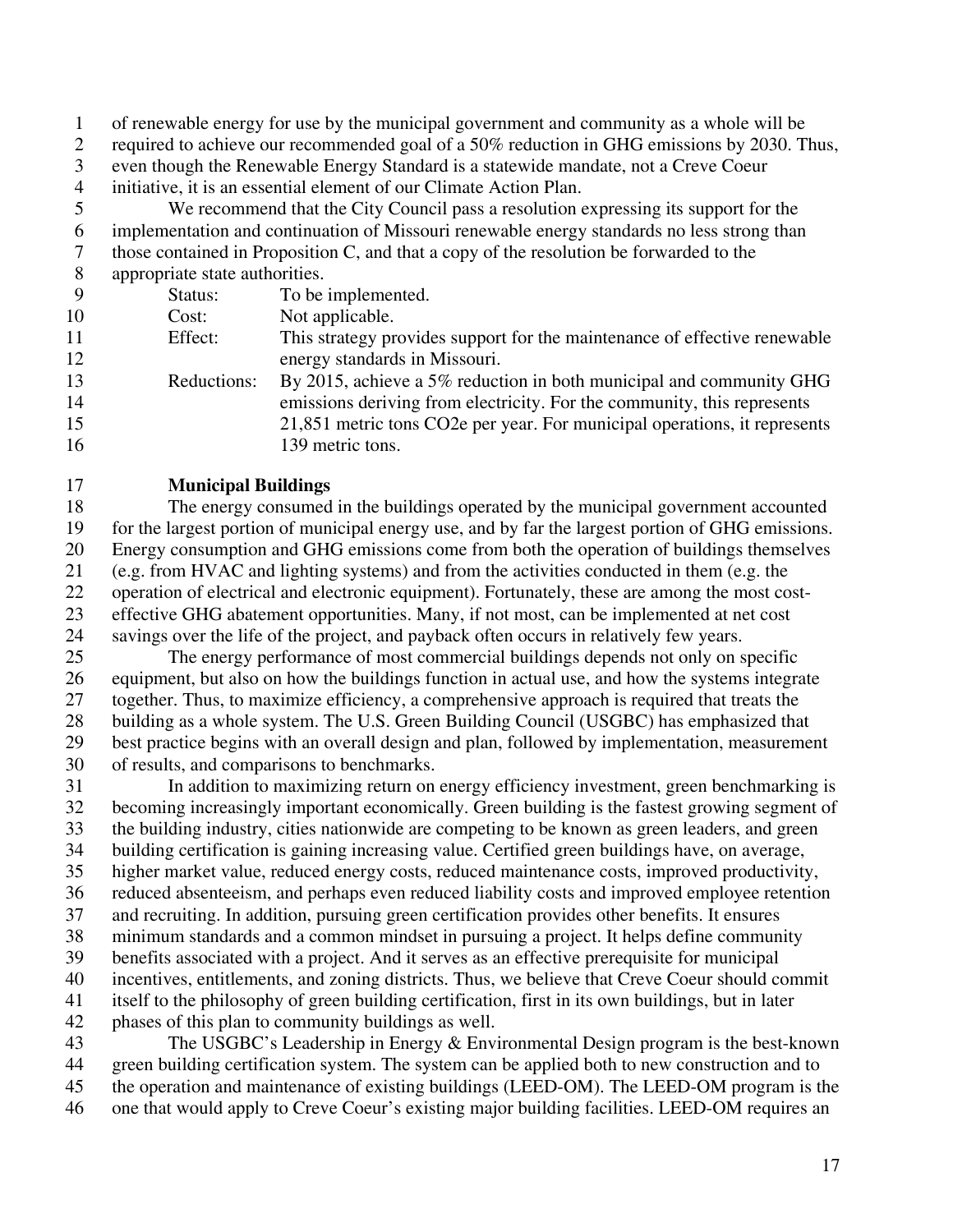1 of renewable energy for use by the municipal government and community as a whole will be

2 required to achieve our recommended goal of a 50% reduction in GHG emissions by 2030. Thus,

- 3 even though the Renewable Energy Standard is a statewide mandate, not a Creve Coeur 4 initiative, it is an essential element of our Climate Action Plan.
- 5 We recommend that the City Council pass a resolution expressing its support for the 6 implementation and continuation of Missouri renewable energy standards no less strong than
- 7 those contained in Proposition C, and that a copy of the resolution be forwarded to the
- 8 appropriate state authorities.

9 Status: To be implemented. 10 Cost: Not applicable. 11 Effect: This strategy provides support for the maintenance of effective renewable 12 energy standards in Missouri. 13 Reductions: By 2015, achieve a 5% reduction in both municipal and community GHG 14 emissions deriving from electricity. For the community, this represents 15 21,851 metric tons CO2e per year. For municipal operations, it represents 16 139 metric tons.

### 17 **Municipal Buildings**

18 The energy consumed in the buildings operated by the municipal government accounted 19 for the largest portion of municipal energy use, and by far the largest portion of GHG emissions. 20 Energy consumption and GHG emissions come from both the operation of buildings themselves 21 (e.g. from HVAC and lighting systems) and from the activities conducted in them (e.g. the 22 operation of electrical and electronic equipment). Fortunately, these are among the most cost-23 effective GHG abatement opportunities. Many, if not most, can be implemented at net cost 24 savings over the life of the project, and payback often occurs in relatively few years.

25 The energy performance of most commercial buildings depends not only on specific 26 equipment, but also on how the buildings function in actual use, and how the systems integrate 27 together. Thus, to maximize efficiency, a comprehensive approach is required that treats the 28 building as a whole system. The U.S. Green Building Council (USGBC) has emphasized that 29 best practice begins with an overall design and plan, followed by implementation, measurement 30 of results, and comparisons to benchmarks.

31 In addition to maximizing return on energy efficiency investment, green benchmarking is 32 becoming increasingly important economically. Green building is the fastest growing segment of 33 the building industry, cities nationwide are competing to be known as green leaders, and green 34 building certification is gaining increasing value. Certified green buildings have, on average, 35 higher market value, reduced energy costs, reduced maintenance costs, improved productivity, 36 reduced absenteeism, and perhaps even reduced liability costs and improved employee retention 37 and recruiting. In addition, pursuing green certification provides other benefits. It ensures 38 minimum standards and a common mindset in pursuing a project. It helps define community 39 benefits associated with a project. And it serves as an effective prerequisite for municipal 40 incentives, entitlements, and zoning districts. Thus, we believe that Creve Coeur should commit 41 itself to the philosophy of green building certification, first in its own buildings, but in later 42 phases of this plan to community buildings as well.

43 The USGBC's Leadership in Energy & Environmental Design program is the best-known 44 green building certification system. The system can be applied both to new construction and to 45 the operation and maintenance of existing buildings (LEED-OM). The LEED-OM program is the 46 one that would apply to Creve Coeur's existing major building facilities. LEED-OM requires an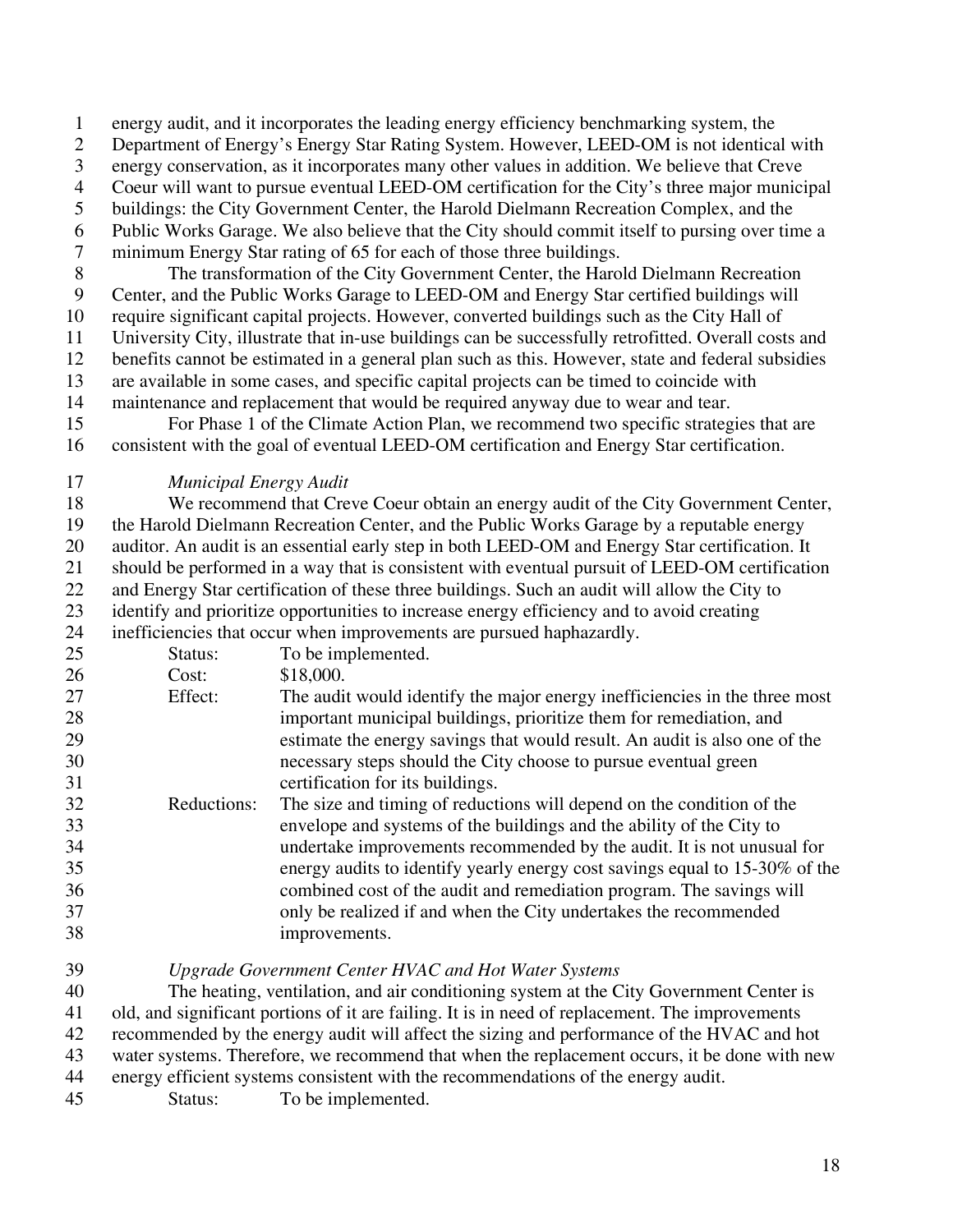1 energy audit, and it incorporates the leading energy efficiency benchmarking system, the

2 Department of Energy's Energy Star Rating System. However, LEED-OM is not identical with

3 energy conservation, as it incorporates many other values in addition. We believe that Creve

- 4 Coeur will want to pursue eventual LEED-OM certification for the City's three major municipal
- 5 buildings: the City Government Center, the Harold Dielmann Recreation Complex, and the
- 6 Public Works Garage. We also believe that the City should commit itself to pursing over time a 7 minimum Energy Star rating of 65 for each of those three buildings.

8 The transformation of the City Government Center, the Harold Dielmann Recreation 9 Center, and the Public Works Garage to LEED-OM and Energy Star certified buildings will 10 require significant capital projects. However, converted buildings such as the City Hall of 11 University City, illustrate that in-use buildings can be successfully retrofitted. Overall costs and 12 benefits cannot be estimated in a general plan such as this. However, state and federal subsidies 13 are available in some cases, and specific capital projects can be timed to coincide with 14 maintenance and replacement that would be required anyway due to wear and tear.

15 For Phase 1 of the Climate Action Plan, we recommend two specific strategies that are 16 consistent with the goal of eventual LEED-OM certification and Energy Star certification.

17 *Municipal Energy Audit* 

18 We recommend that Creve Coeur obtain an energy audit of the City Government Center, 19 the Harold Dielmann Recreation Center, and the Public Works Garage by a reputable energy 20 auditor. An audit is an essential early step in both LEED-OM and Energy Star certification. It 21 should be performed in a way that is consistent with eventual pursuit of LEED-OM certification 22 and Energy Star certification of these three buildings. Such an audit will allow the City to 23 identify and prioritize opportunities to increase energy efficiency and to avoid creating 24 inefficiencies that occur when improvements are pursued haphazardly.

| 25 | Status:     | To be implemented.                                                          |
|----|-------------|-----------------------------------------------------------------------------|
| 26 | Cost:       | \$18,000.                                                                   |
| 27 | Effect:     | The audit would identify the major energy inefficiencies in the three most  |
| 28 |             | important municipal buildings, prioritize them for remediation, and         |
| 29 |             | estimate the energy savings that would result. An audit is also one of the  |
| 30 |             | necessary steps should the City choose to pursue eventual green             |
| 31 |             | certification for its buildings.                                            |
| 32 | Reductions: | The size and timing of reductions will depend on the condition of the       |
| 33 |             | envelope and systems of the buildings and the ability of the City to        |
| 34 |             | undertake improvements recommended by the audit. It is not unusual for      |
| 35 |             | energy audits to identify yearly energy cost savings equal to 15-30% of the |
| 36 |             | combined cost of the audit and remediation program. The savings will        |
| 37 |             | only be realized if and when the City undertakes the recommended            |
| 38 |             | improvements.                                                               |
|    |             |                                                                             |

39 *Upgrade Government Center HVAC and Hot Water Systems* 

40 The heating, ventilation, and air conditioning system at the City Government Center is 41 old, and significant portions of it are failing. It is in need of replacement. The improvements 42 recommended by the energy audit will affect the sizing and performance of the HVAC and hot 43 water systems. Therefore, we recommend that when the replacement occurs, it be done with new 44 energy efficient systems consistent with the recommendations of the energy audit. 45 Status: To be implemented.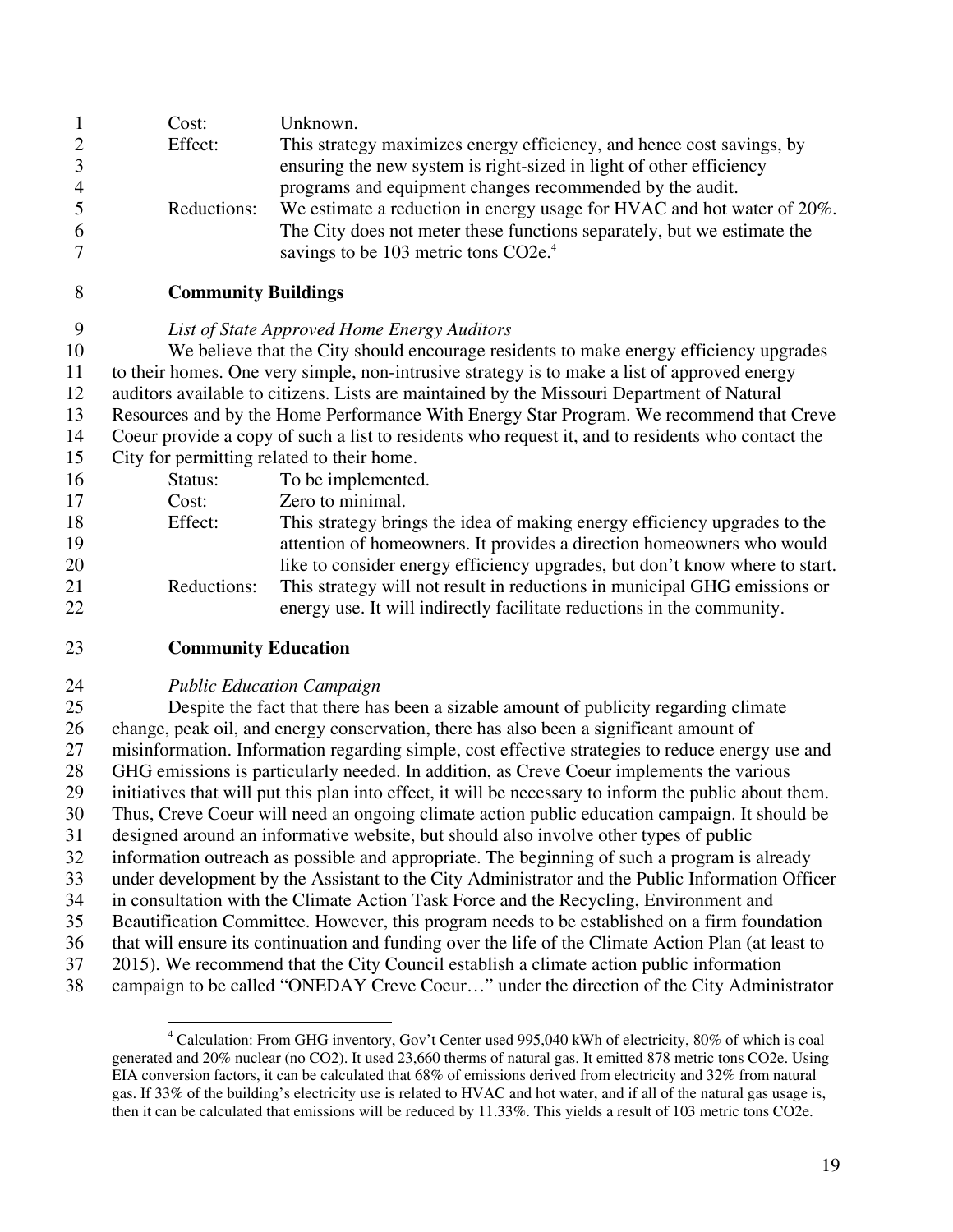| $\mathbf{1}$<br>$\overline{2}$<br>3<br>$\overline{4}$<br>5 | Cost:<br>Effect:<br>Reductions:                                                                   | Unknown.<br>This strategy maximizes energy efficiency, and hence cost savings, by<br>ensuring the new system is right-sized in light of other efficiency<br>programs and equipment changes recommended by the audit.<br>We estimate a reduction in energy usage for HVAC and hot water of 20%. |  |  |  |
|------------------------------------------------------------|---------------------------------------------------------------------------------------------------|------------------------------------------------------------------------------------------------------------------------------------------------------------------------------------------------------------------------------------------------------------------------------------------------|--|--|--|
| 6<br>7                                                     |                                                                                                   | The City does not meter these functions separately, but we estimate the<br>savings to be 103 metric tons CO2e. <sup>4</sup>                                                                                                                                                                    |  |  |  |
| 8                                                          | <b>Community Buildings</b>                                                                        |                                                                                                                                                                                                                                                                                                |  |  |  |
| 9                                                          |                                                                                                   | List of State Approved Home Energy Auditors                                                                                                                                                                                                                                                    |  |  |  |
| 10                                                         |                                                                                                   | We believe that the City should encourage residents to make energy efficiency upgrades                                                                                                                                                                                                         |  |  |  |
| 11                                                         | to their homes. One very simple, non-intrusive strategy is to make a list of approved energy      |                                                                                                                                                                                                                                                                                                |  |  |  |
| 12                                                         | auditors available to citizens. Lists are maintained by the Missouri Department of Natural        |                                                                                                                                                                                                                                                                                                |  |  |  |
| 13                                                         | Resources and by the Home Performance With Energy Star Program. We recommend that Creve           |                                                                                                                                                                                                                                                                                                |  |  |  |
| 14                                                         | Coeur provide a copy of such a list to residents who request it, and to residents who contact the |                                                                                                                                                                                                                                                                                                |  |  |  |
| 15                                                         | City for permitting related to their home.                                                        |                                                                                                                                                                                                                                                                                                |  |  |  |
| 16                                                         | Status:                                                                                           | To be implemented.                                                                                                                                                                                                                                                                             |  |  |  |
| 17                                                         | Cost:                                                                                             | Zero to minimal.                                                                                                                                                                                                                                                                               |  |  |  |
| 18                                                         | Effect:                                                                                           | This strategy brings the idea of making energy efficiency upgrades to the                                                                                                                                                                                                                      |  |  |  |
| 19                                                         |                                                                                                   | attention of homeowners. It provides a direction homeowners who would                                                                                                                                                                                                                          |  |  |  |
| 20                                                         |                                                                                                   | like to consider energy efficiency upgrades, but don't know where to start.                                                                                                                                                                                                                    |  |  |  |
| 21<br>22                                                   | Reductions:                                                                                       | This strategy will not result in reductions in municipal GHG emissions or<br>energy use. It will indirectly facilitate reductions in the community.                                                                                                                                            |  |  |  |
| 23                                                         | <b>Community Education</b>                                                                        |                                                                                                                                                                                                                                                                                                |  |  |  |

### 24 *Public Education Campaign*

1

25 Despite the fact that there has been a sizable amount of publicity regarding climate 26 change, peak oil, and energy conservation, there has also been a significant amount of 27 misinformation. Information regarding simple, cost effective strategies to reduce energy use and 28 GHG emissions is particularly needed. In addition, as Creve Coeur implements the various 29 initiatives that will put this plan into effect, it will be necessary to inform the public about them. 30 Thus, Creve Coeur will need an ongoing climate action public education campaign. It should be 31 designed around an informative website, but should also involve other types of public 32 information outreach as possible and appropriate. The beginning of such a program is already 33 under development by the Assistant to the City Administrator and the Public Information Officer 34 in consultation with the Climate Action Task Force and the Recycling, Environment and 35 Beautification Committee. However, this program needs to be established on a firm foundation 36 that will ensure its continuation and funding over the life of the Climate Action Plan (at least to 37 2015). We recommend that the City Council establish a climate action public information

<sup>38</sup> campaign to be called "ONEDAY Creve Coeur…" under the direction of the City Administrator

<sup>&</sup>lt;sup>4</sup> Calculation: From GHG inventory, Gov't Center used 995,040 kWh of electricity, 80% of which is coal generated and 20% nuclear (no CO2). It used 23,660 therms of natural gas. It emitted 878 metric tons CO2e. Using EIA conversion factors, it can be calculated that 68% of emissions derived from electricity and 32% from natural gas. If 33% of the building's electricity use is related to HVAC and hot water, and if all of the natural gas usage is, then it can be calculated that emissions will be reduced by 11.33%. This yields a result of 103 metric tons CO2e.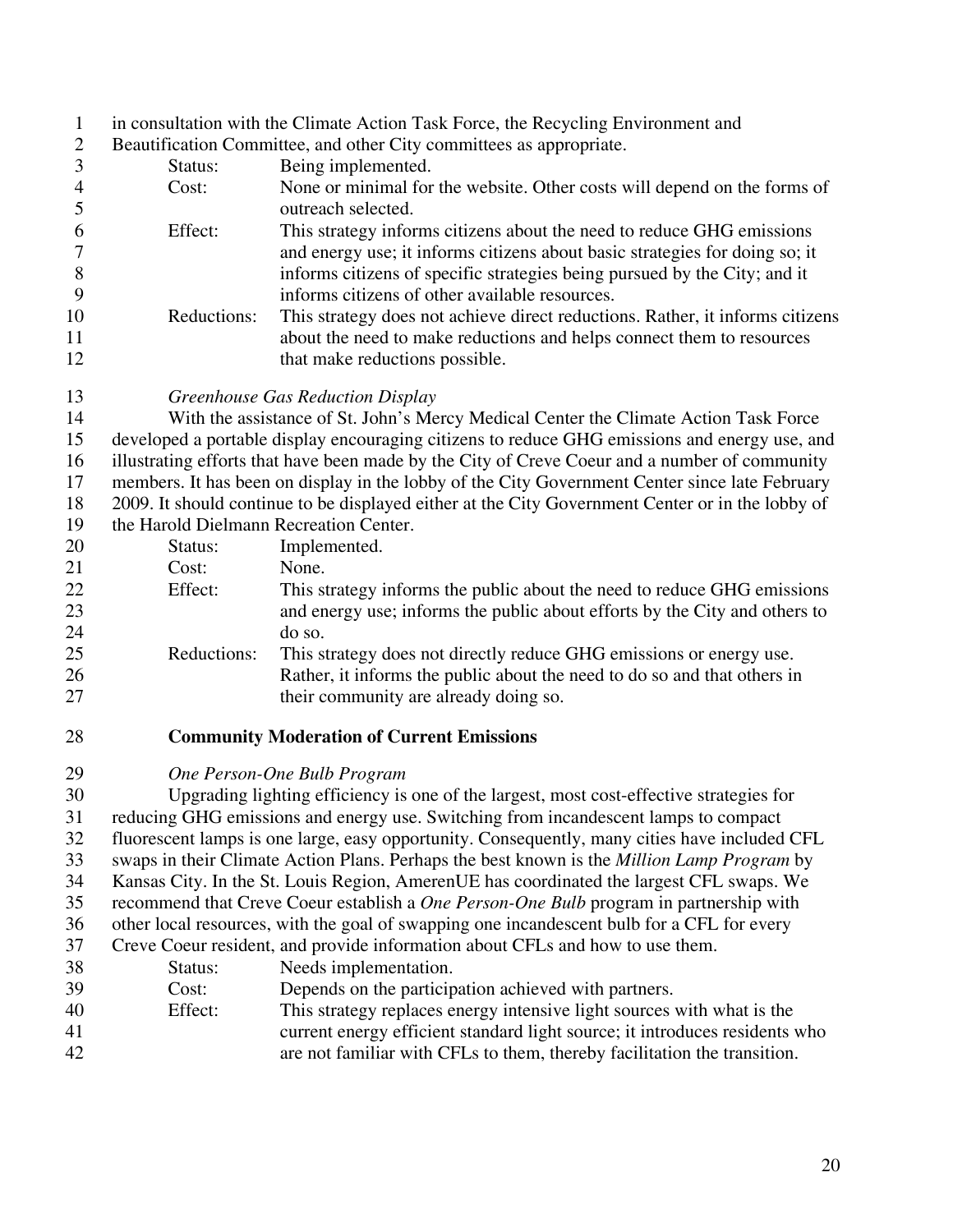- 1 in consultation with the Climate Action Task Force, the Recycling Environment and
- 2 Beautification Committee, and other City committees as appropriate.
- 3 Status: Being implemented. 4 Cost: None or minimal for the website. Other costs will depend on the forms of 5 outreach selected. 6 Effect: This strategy informs citizens about the need to reduce GHG emissions 7 and energy use; it informs citizens about basic strategies for doing so; it 8 informs citizens of specific strategies being pursued by the City; and it 9 informs citizens of other available resources. 10 Reductions: This strategy does not achieve direct reductions. Rather, it informs citizens 11 about the need to make reductions and helps connect them to resources 12 that make reductions possible.
- 13 *Greenhouse Gas Reduction Display*

14 With the assistance of St. John's Mercy Medical Center the Climate Action Task Force 15 developed a portable display encouraging citizens to reduce GHG emissions and energy use, and 16 illustrating efforts that have been made by the City of Creve Coeur and a number of community 17 members. It has been on display in the lobby of the City Government Center since late February 18 2009. It should continue to be displayed either at the City Government Center or in the lobby of

19 the Harold Dielmann Recreation Center.

| 20 | Status:     | Implemented.                                                               |
|----|-------------|----------------------------------------------------------------------------|
| 21 | Cost:       | None.                                                                      |
| 22 | Effect:     | This strategy informs the public about the need to reduce GHG emissions    |
| 23 |             | and energy use; informs the public about efforts by the City and others to |
| 24 |             | do so.                                                                     |
| 25 | Reductions: | This strategy does not directly reduce GHG emissions or energy use.        |
| 26 |             | Rather, it informs the public about the need to do so and that others in   |
| 27 |             | their community are already doing so.                                      |

- 28 **Community Moderation of Current Emissions**
- 29 *One Person-One Bulb Program*

30 Upgrading lighting efficiency is one of the largest, most cost-effective strategies for 31 reducing GHG emissions and energy use. Switching from incandescent lamps to compact 32 fluorescent lamps is one large, easy opportunity. Consequently, many cities have included CFL 33 swaps in their Climate Action Plans. Perhaps the best known is the *Million Lamp Program* by 34 Kansas City. In the St. Louis Region, AmerenUE has coordinated the largest CFL swaps. We 35 recommend that Creve Coeur establish a *One Person-One Bulb* program in partnership with 36 other local resources, with the goal of swapping one incandescent bulb for a CFL for every 37 Creve Coeur resident, and provide information about CFLs and how to use them.

- 38 Status: Needs implementation.
- 39 Cost: Depends on the participation achieved with partners.
- 40 Effect: This strategy replaces energy intensive light sources with what is the 41 current energy efficient standard light source; it introduces residents who 42 are not familiar with CFLs to them, thereby facilitation the transition.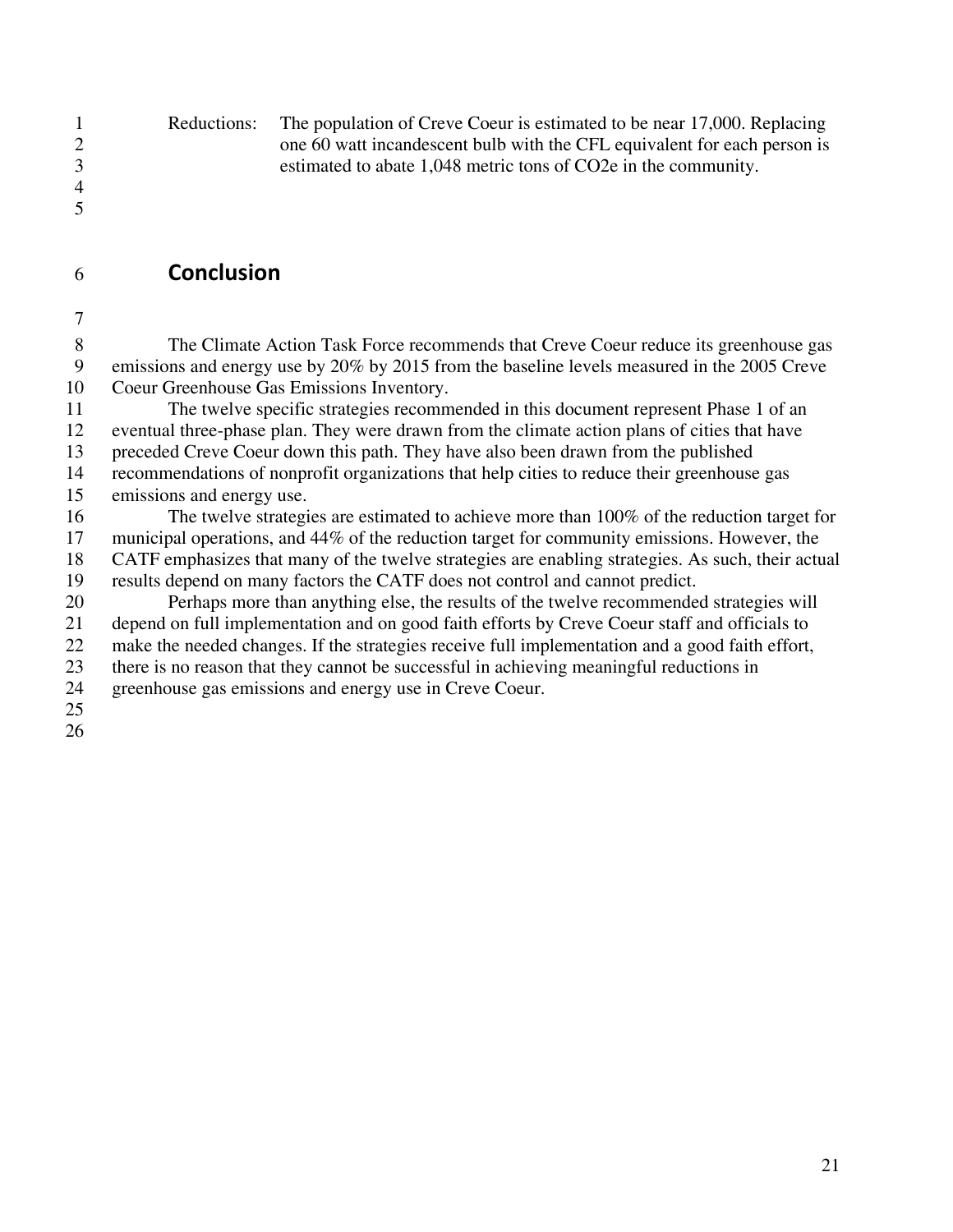|                | Reductions: | The population of Creve Coeur is estimated to be near 17,000. Replacing  |
|----------------|-------------|--------------------------------------------------------------------------|
|                |             | one 60 watt incandescent bulb with the CFL equivalent for each person is |
| 3              |             | estimated to abate 1,048 metric tons of CO2e in the community.           |
| $\overline{4}$ |             |                                                                          |

- 6 **Conclusion**
- 7

5

8 The Climate Action Task Force recommends that Creve Coeur reduce its greenhouse gas 9 emissions and energy use by 20% by 2015 from the baseline levels measured in the 2005 Creve 10 Coeur Greenhouse Gas Emissions Inventory.

11 The twelve specific strategies recommended in this document represent Phase 1 of an 12 eventual three-phase plan. They were drawn from the climate action plans of cities that have 13 preceded Creve Coeur down this path. They have also been drawn from the published

14 recommendations of nonprofit organizations that help cities to reduce their greenhouse gas 15 emissions and energy use.

16 The twelve strategies are estimated to achieve more than 100% of the reduction target for 17 municipal operations, and 44% of the reduction target for community emissions. However, the 18 CATF emphasizes that many of the twelve strategies are enabling strategies. As such, their actual 19 results depend on many factors the CATF does not control and cannot predict.

20 Perhaps more than anything else, the results of the twelve recommended strategies will 21 depend on full implementation and on good faith efforts by Creve Coeur staff and officials to 22 make the needed changes. If the strategies receive full implementation and a good faith effort, 23 there is no reason that they cannot be successful in achieving meaningful reductions in 24 greenhouse gas emissions and energy use in Creve Coeur.

25

26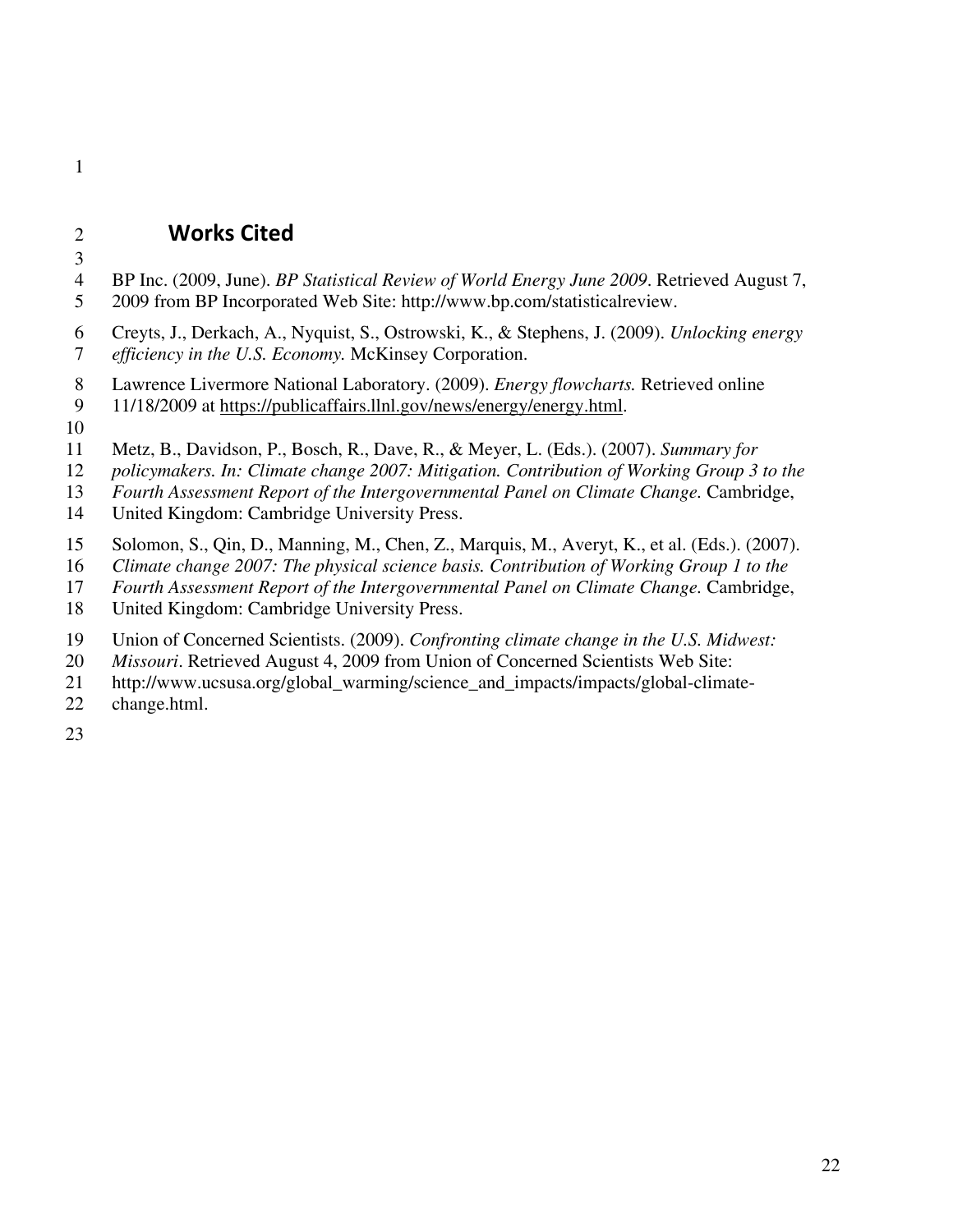# 2 **Works Cited**

3

1

- 4 BP Inc. (2009, June). *BP Statistical Review of World Energy June 2009*. Retrieved August 7,
- 5 2009 from BP Incorporated Web Site: http://www.bp.com/statisticalreview.
- 6 Creyts, J., Derkach, A., Nyquist, S., Ostrowski, K., & Stephens, J. (2009). *Unlocking energy*  7 *efficiency in the U.S. Economy.* McKinsey Corporation.
- 8 Lawrence Livermore National Laboratory. (2009). *Energy flowcharts.* Retrieved online
- 9 11/18/2009 at https://publicaffairs.llnl.gov/news/energy/energy.html.
- 10
- 11 Metz, B., Davidson, P., Bosch, R., Dave, R., & Meyer, L. (Eds.). (2007). *Summary for*
- 12 *policymakers. In: Climate change 2007: Mitigation. Contribution of Working Group 3 to the*
- 13 *Fourth Assessment Report of the Intergovernmental Panel on Climate Change.* Cambridge,
- 14 United Kingdom: Cambridge University Press.
- 15 Solomon, S., Qin, D., Manning, M., Chen, Z., Marquis, M., Averyt, K., et al. (Eds.). (2007).
- 16 *Climate change 2007: The physical science basis. Contribution of Working Group 1 to the*
- 17 *Fourth Assessment Report of the Intergovernmental Panel on Climate Change.* Cambridge,
- 18 United Kingdom: Cambridge University Press.
- 19 Union of Concerned Scientists. (2009). *Confronting climate change in the U.S. Midwest:*
- 20 *Missouri*. Retrieved August 4, 2009 from Union of Concerned Scientists Web Site:
- 21 http://www.ucsusa.org/global\_warming/science\_and\_impacts/impacts/global-climate-
- 22 change.html.
- 23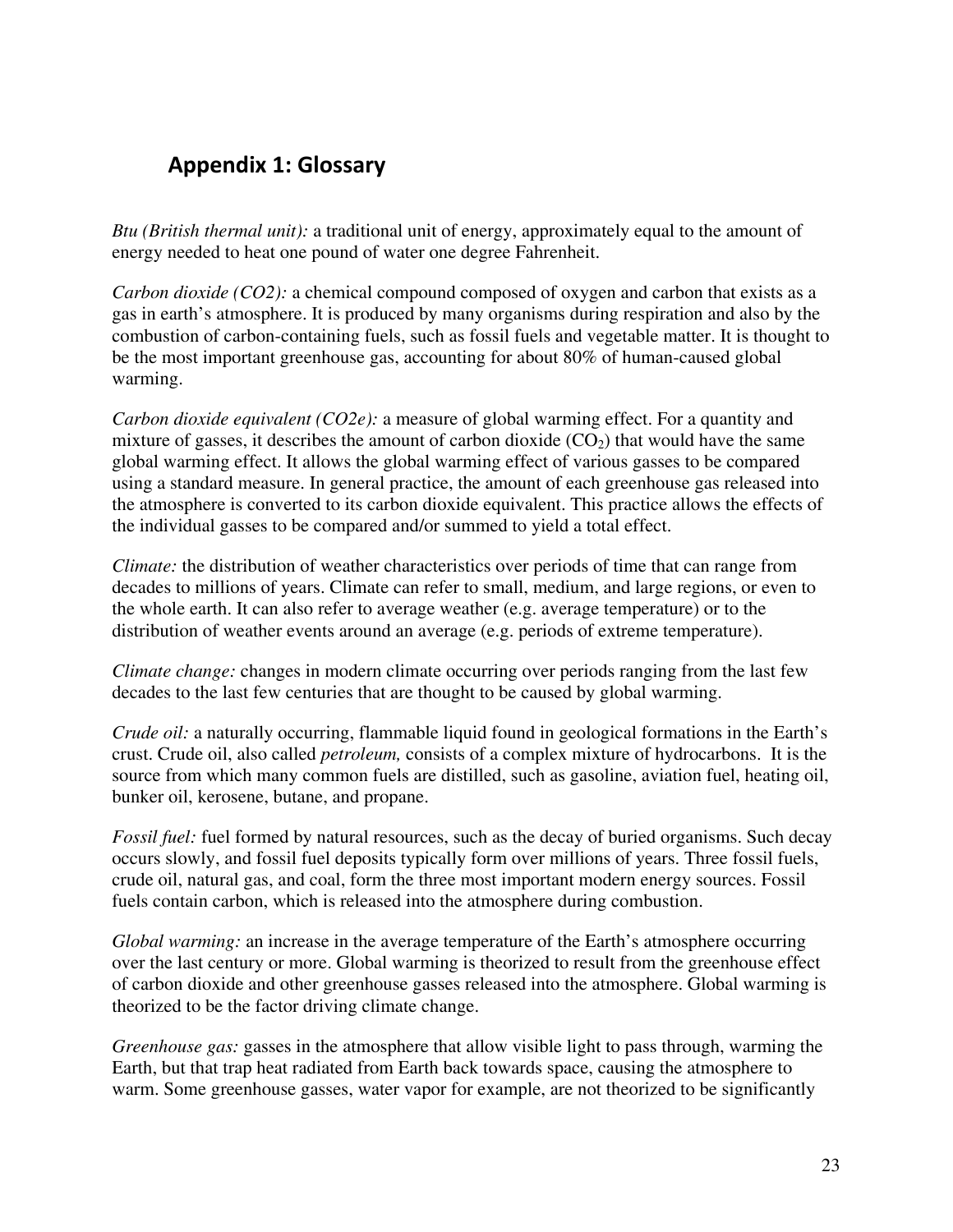# **Appendix 1: Glossary**

*Btu (British thermal unit):* a traditional unit of energy, approximately equal to the amount of energy needed to heat one pound of water one degree Fahrenheit.

*Carbon dioxide (CO2):* a chemical compound composed of oxygen and carbon that exists as a gas in earth's atmosphere. It is produced by many organisms during respiration and also by the combustion of carbon-containing fuels, such as fossil fuels and vegetable matter. It is thought to be the most important greenhouse gas, accounting for about 80% of human-caused global warming.

*Carbon dioxide equivalent (CO2e):* a measure of global warming effect. For a quantity and mixture of gasses, it describes the amount of carbon dioxide  $(CO<sub>2</sub>)$  that would have the same global warming effect. It allows the global warming effect of various gasses to be compared using a standard measure. In general practice, the amount of each greenhouse gas released into the atmosphere is converted to its carbon dioxide equivalent. This practice allows the effects of the individual gasses to be compared and/or summed to yield a total effect.

*Climate:* the distribution of weather characteristics over periods of time that can range from decades to millions of years. Climate can refer to small, medium, and large regions, or even to the whole earth. It can also refer to average weather (e.g. average temperature) or to the distribution of weather events around an average (e.g. periods of extreme temperature).

*Climate change:* changes in modern climate occurring over periods ranging from the last few decades to the last few centuries that are thought to be caused by global warming.

*Crude oil:* a naturally occurring, flammable liquid found in geological formations in the Earth's crust. Crude oil, also called *petroleum,* consists of a complex mixture of hydrocarbons. It is the source from which many common fuels are distilled, such as gasoline, aviation fuel, heating oil, bunker oil, kerosene, butane, and propane.

*Fossil fuel:* fuel formed by natural resources, such as the decay of buried organisms. Such decay occurs slowly, and fossil fuel deposits typically form over millions of years. Three fossil fuels, crude oil, natural gas, and coal, form the three most important modern energy sources. Fossil fuels contain carbon, which is released into the atmosphere during combustion.

*Global warming:* an increase in the average temperature of the Earth's atmosphere occurring over the last century or more. Global warming is theorized to result from the greenhouse effect of carbon dioxide and other greenhouse gasses released into the atmosphere. Global warming is theorized to be the factor driving climate change.

*Greenhouse gas: gasses in the atmosphere that allow visible light to pass through, warming the* Earth, but that trap heat radiated from Earth back towards space, causing the atmosphere to warm. Some greenhouse gasses, water vapor for example, are not theorized to be significantly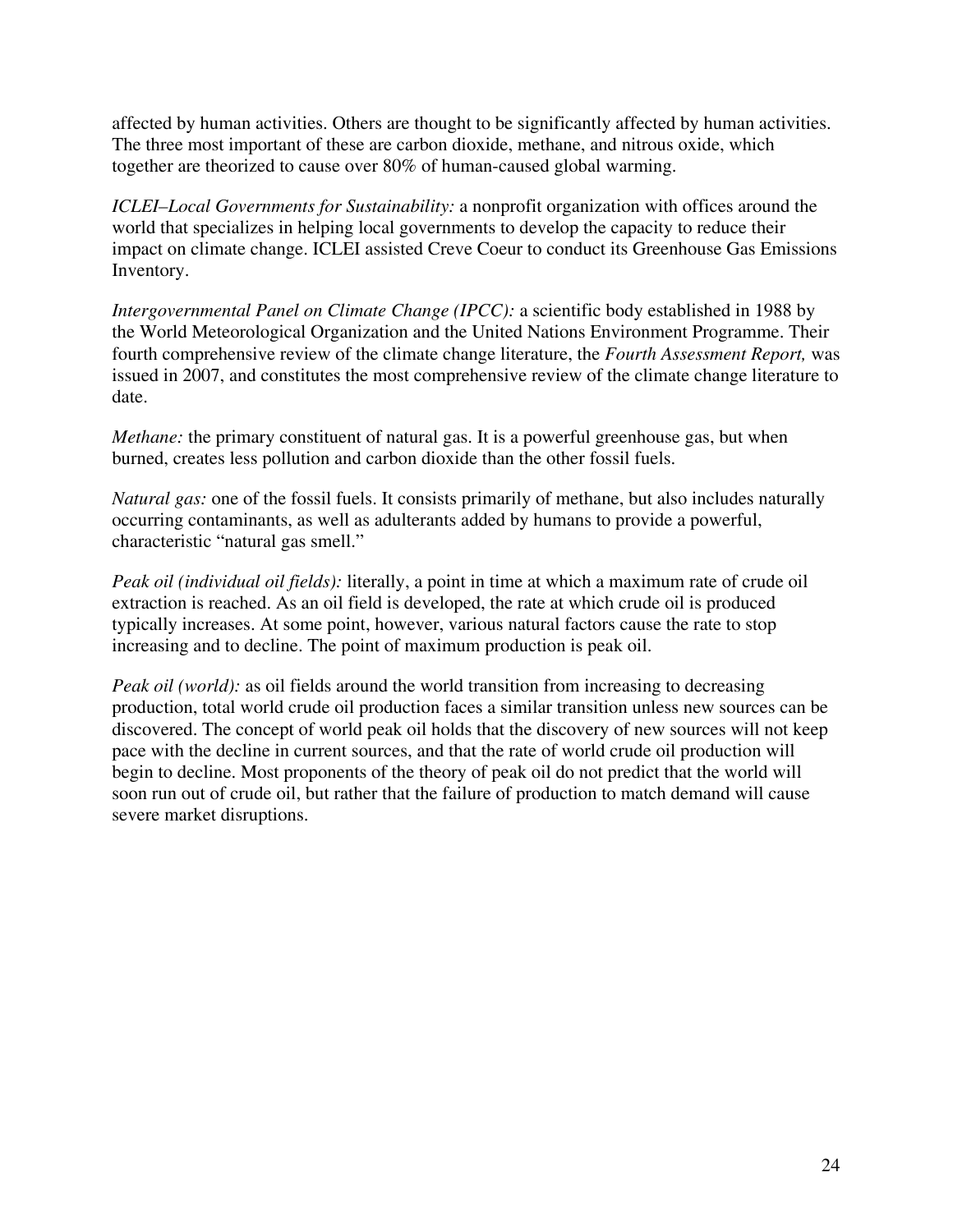affected by human activities. Others are thought to be significantly affected by human activities. The three most important of these are carbon dioxide, methane, and nitrous oxide, which together are theorized to cause over 80% of human-caused global warming.

*ICLEI–Local Governments for Sustainability:* a nonprofit organization with offices around the world that specializes in helping local governments to develop the capacity to reduce their impact on climate change. ICLEI assisted Creve Coeur to conduct its Greenhouse Gas Emissions Inventory.

*Intergovernmental Panel on Climate Change (IPCC):* a scientific body established in 1988 by the World Meteorological Organization and the United Nations Environment Programme. Their fourth comprehensive review of the climate change literature, the *Fourth Assessment Report,* was issued in 2007, and constitutes the most comprehensive review of the climate change literature to date.

*Methane:* the primary constituent of natural gas. It is a powerful greenhouse gas, but when burned, creates less pollution and carbon dioxide than the other fossil fuels.

*Natural gas:* one of the fossil fuels. It consists primarily of methane, but also includes naturally occurring contaminants, as well as adulterants added by humans to provide a powerful, characteristic "natural gas smell."

*Peak oil (individual oil fields):* literally, a point in time at which a maximum rate of crude oil extraction is reached. As an oil field is developed, the rate at which crude oil is produced typically increases. At some point, however, various natural factors cause the rate to stop increasing and to decline. The point of maximum production is peak oil.

*Peak oil (world):* as oil fields around the world transition from increasing to decreasing production, total world crude oil production faces a similar transition unless new sources can be discovered. The concept of world peak oil holds that the discovery of new sources will not keep pace with the decline in current sources, and that the rate of world crude oil production will begin to decline. Most proponents of the theory of peak oil do not predict that the world will soon run out of crude oil, but rather that the failure of production to match demand will cause severe market disruptions.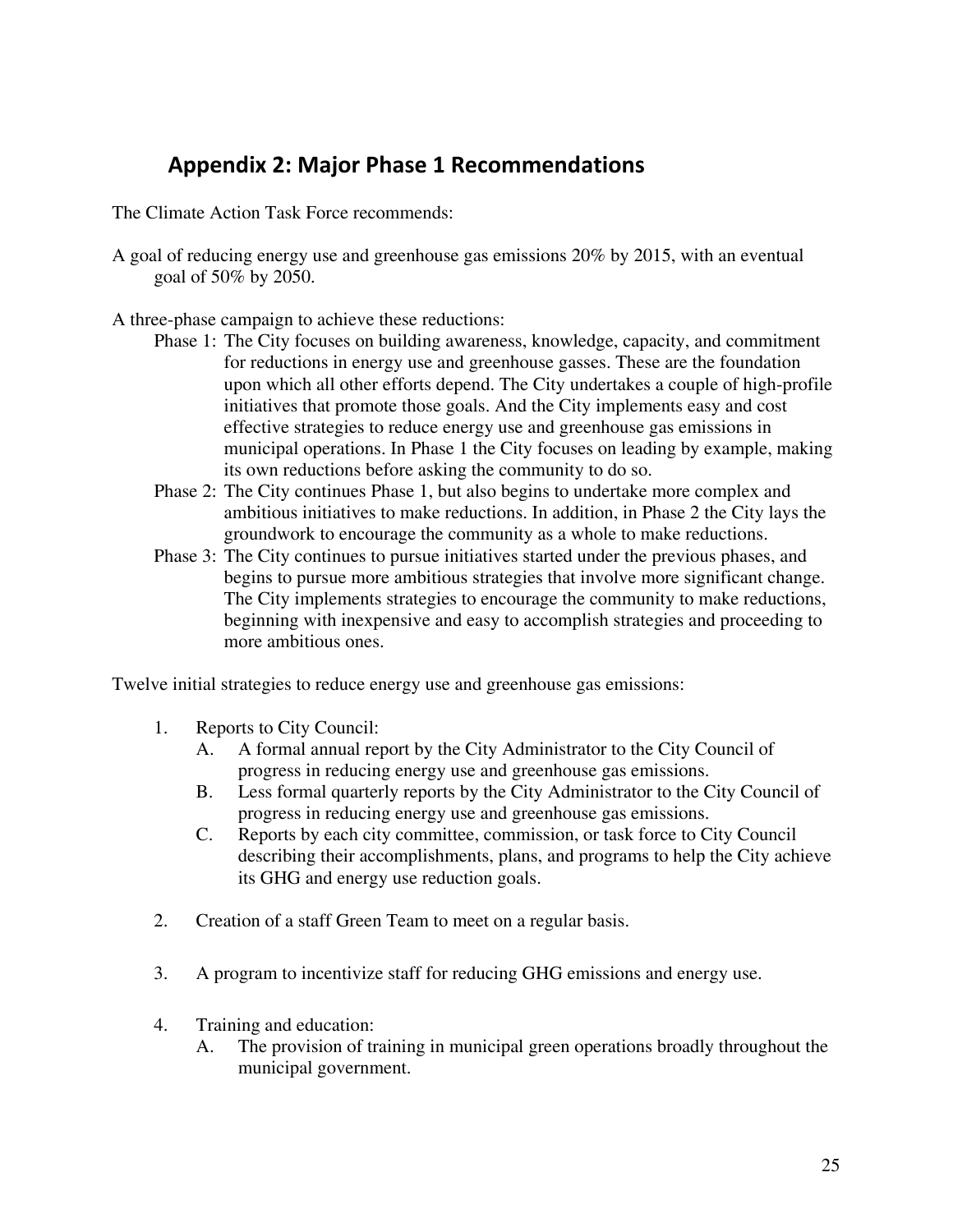# **Appendix 2: Major Phase 1 Recommendations**

The Climate Action Task Force recommends:

A goal of reducing energy use and greenhouse gas emissions 20% by 2015, with an eventual goal of 50% by 2050.

A three-phase campaign to achieve these reductions:

- Phase 1: The City focuses on building awareness, knowledge, capacity, and commitment for reductions in energy use and greenhouse gasses. These are the foundation upon which all other efforts depend. The City undertakes a couple of high-profile initiatives that promote those goals. And the City implements easy and cost effective strategies to reduce energy use and greenhouse gas emissions in municipal operations. In Phase 1 the City focuses on leading by example, making its own reductions before asking the community to do so.
- Phase 2: The City continues Phase 1, but also begins to undertake more complex and ambitious initiatives to make reductions. In addition, in Phase 2 the City lays the groundwork to encourage the community as a whole to make reductions.
- Phase 3: The City continues to pursue initiatives started under the previous phases, and begins to pursue more ambitious strategies that involve more significant change. The City implements strategies to encourage the community to make reductions, beginning with inexpensive and easy to accomplish strategies and proceeding to more ambitious ones.

Twelve initial strategies to reduce energy use and greenhouse gas emissions:

- 1. Reports to City Council:
	- A. A formal annual report by the City Administrator to the City Council of progress in reducing energy use and greenhouse gas emissions.
	- B. Less formal quarterly reports by the City Administrator to the City Council of progress in reducing energy use and greenhouse gas emissions.
	- C. Reports by each city committee, commission, or task force to City Council describing their accomplishments, plans, and programs to help the City achieve its GHG and energy use reduction goals.
- 2. Creation of a staff Green Team to meet on a regular basis.
- 3. A program to incentivize staff for reducing GHG emissions and energy use.
- 4. Training and education:
	- A. The provision of training in municipal green operations broadly throughout the municipal government.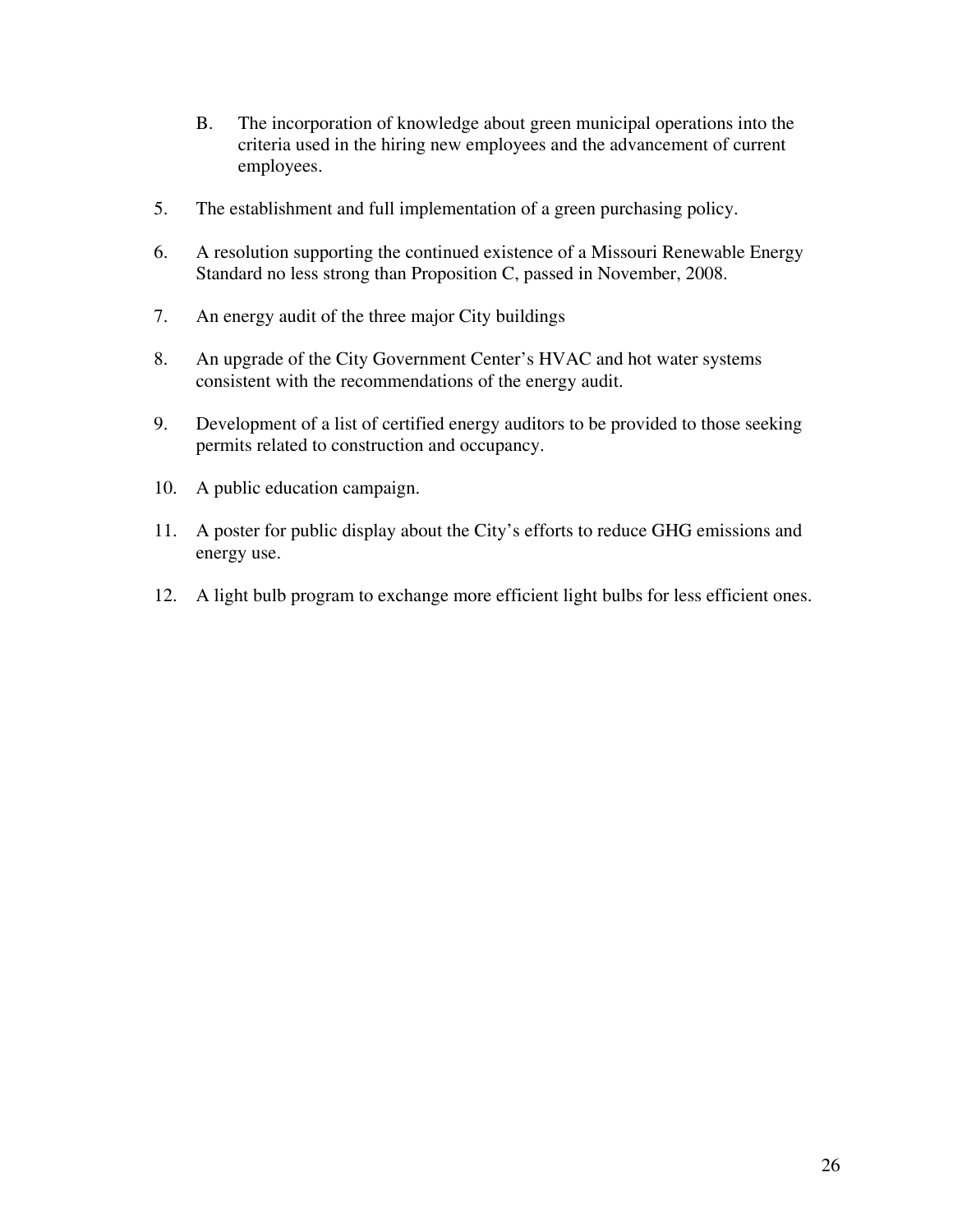- B. The incorporation of knowledge about green municipal operations into the criteria used in the hiring new employees and the advancement of current employees.
- 5. The establishment and full implementation of a green purchasing policy.
- 6. A resolution supporting the continued existence of a Missouri Renewable Energy Standard no less strong than Proposition C, passed in November, 2008.
- 7. An energy audit of the three major City buildings
- 8. An upgrade of the City Government Center's HVAC and hot water systems consistent with the recommendations of the energy audit.
- 9. Development of a list of certified energy auditors to be provided to those seeking permits related to construction and occupancy.
- 10. A public education campaign.
- 11. A poster for public display about the City's efforts to reduce GHG emissions and energy use.
- 12. A light bulb program to exchange more efficient light bulbs for less efficient ones.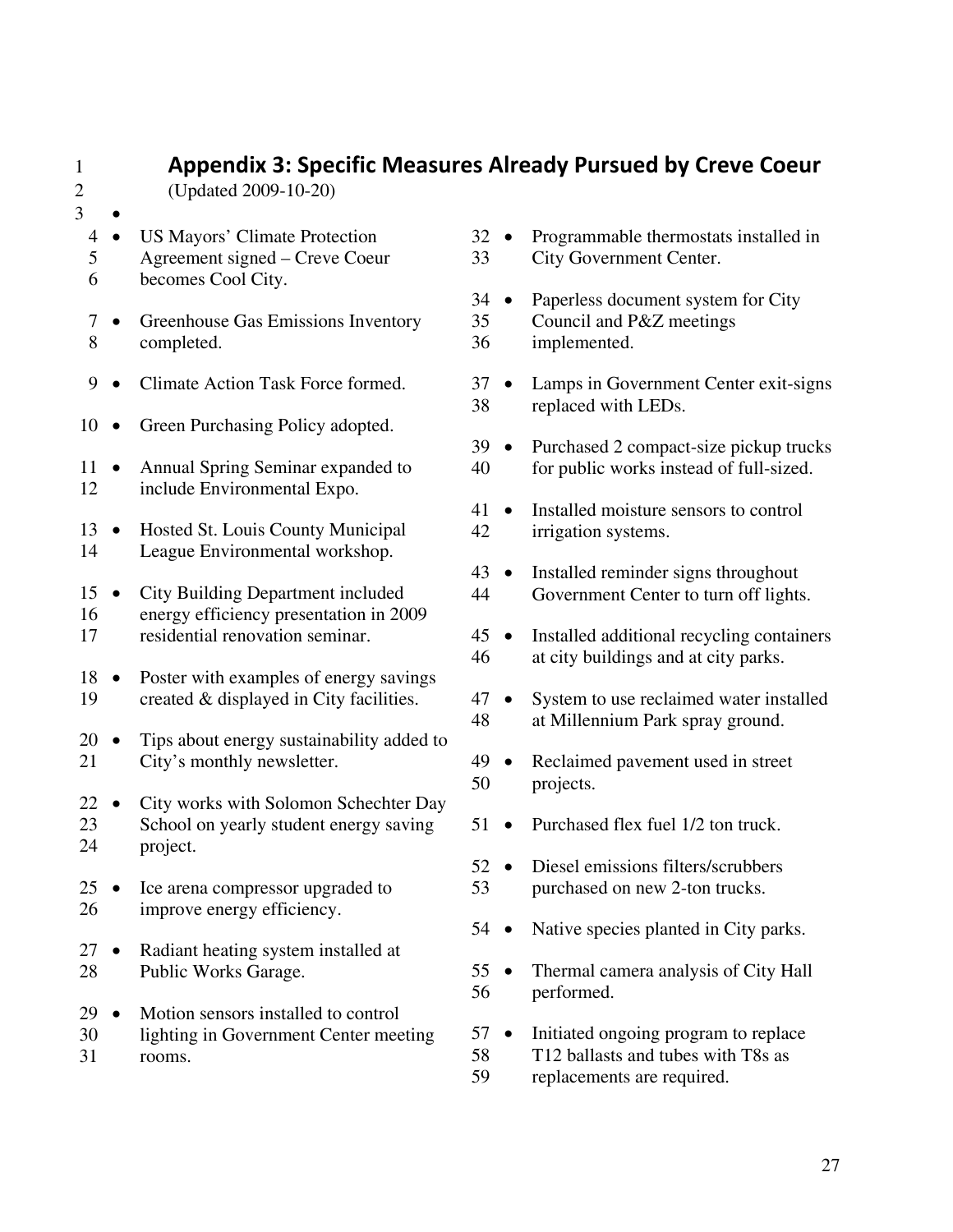# 1 **Appendix 3: Specific Measures Already Pursued by Creve Coeur**

2 (Updated 2009-10-20)

- 3
	- 4 US Mayors' Climate Protection
	- 5 Agreement signed Creve Coeur
	- 6 becomes Cool City.
	- 7 Greenhouse Gas Emissions Inventory 8 completed.
	- 9 Climate Action Task Force formed.
- 10 Green Purchasing Policy adopted.
- 11 Annual Spring Seminar expanded to 12 include Environmental Expo.
- 13 Hosted St. Louis County Municipal 14 League Environmental workshop.
- 15 City Building Department included 16 energy efficiency presentation in 2009 17 residential renovation seminar.
- 18 Poster with examples of energy savings 19 created & displayed in City facilities.
- 20 Tips about energy sustainability added to 21 City's monthly newsletter.
- 22 City works with Solomon Schechter Day 23 School on yearly student energy saving 24 project.
- 25 Ice arena compressor upgraded to 26 improve energy efficiency.
- 27 Radiant heating system installed at 28 Public Works Garage.
- 29 Motion sensors installed to control 30 lighting in Government Center meeting 31 rooms.
- 32 Programmable thermostats installed in 33 City Government Center.
- 34 Paperless document system for City 35 Council and P&Z meetings 36 implemented.
- 37 Lamps in Government Center exit-signs 38 replaced with LEDs.
- 39 Purchased 2 compact-size pickup trucks 40 for public works instead of full-sized.
- 41 Installed moisture sensors to control 42 irrigation systems.
- 43 Installed reminder signs throughout 44 Government Center to turn off lights.
- 45 Installed additional recycling containers 46 at city buildings and at city parks.
- 47 System to use reclaimed water installed 48 at Millennium Park spray ground.
- 49 Reclaimed pavement used in street 50 projects.
- 51 Purchased flex fuel 1/2 ton truck.
- 52 Diesel emissions filters/scrubbers 53 purchased on new 2-ton trucks.
- 54 Native species planted in City parks.
- 55 Thermal camera analysis of City Hall 56 performed.
- 57 Initiated ongoing program to replace 58 T12 ballasts and tubes with T8s as 59 replacements are required.